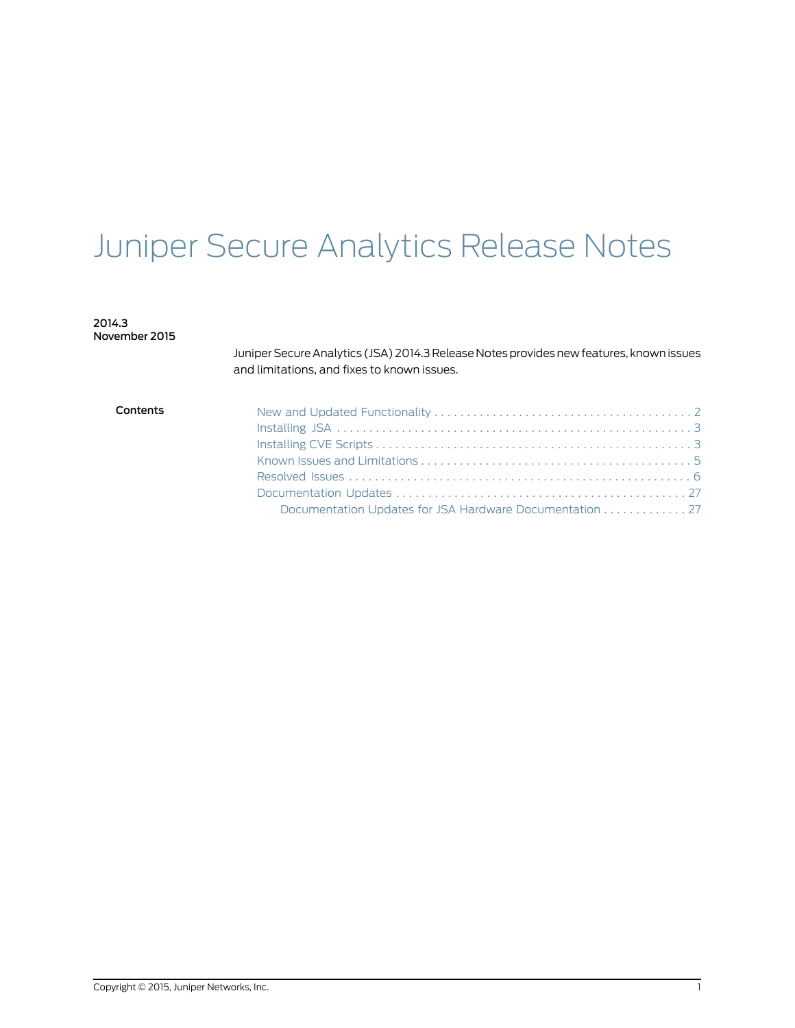# Juniper Secure Analytics Release Notes

2014.3 November 2015

> Juniper Secure Analytics (JSA) 2014.3 Release Notes provides new features, known issues and limitations, and fixes to known issues.

| Contents |                                                         |
|----------|---------------------------------------------------------|
|          |                                                         |
|          |                                                         |
|          |                                                         |
|          |                                                         |
|          |                                                         |
|          | Documentation Updates for JSA Hardware Documentation 27 |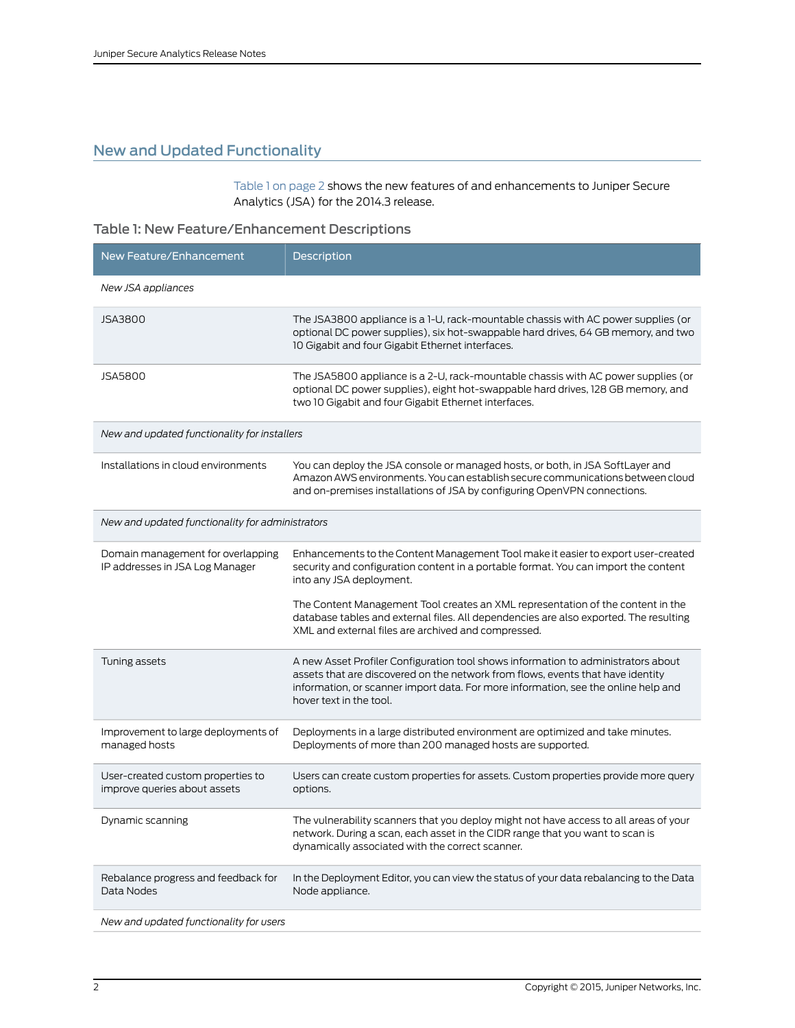## <span id="page-1-0"></span>New and Updated Functionality

<span id="page-1-1"></span>[Table](#page-1-1) 1 on page 2 shows the new features of and enhancements to Juniper Secure Analytics (JSA) for the 2014.3 release.

## Table 1: New Feature/Enhancement Descriptions

| New Feature/Enhancement                                              | Description                                                                                                                                                                                                                                                                           |  |
|----------------------------------------------------------------------|---------------------------------------------------------------------------------------------------------------------------------------------------------------------------------------------------------------------------------------------------------------------------------------|--|
| New JSA appliances                                                   |                                                                                                                                                                                                                                                                                       |  |
| <b>JSA3800</b>                                                       | The JSA3800 appliance is a 1-U, rack-mountable chassis with AC power supplies (or<br>optional DC power supplies), six hot-swappable hard drives, 64 GB memory, and two<br>10 Gigabit and four Gigabit Ethernet interfaces.                                                            |  |
| <b>JSA5800</b>                                                       | The JSA5800 appliance is a 2-U, rack-mountable chassis with AC power supplies (or<br>optional DC power supplies), eight hot-swappable hard drives, 128 GB memory, and<br>two 10 Gigabit and four Gigabit Ethernet interfaces.                                                         |  |
| New and updated functionality for installers                         |                                                                                                                                                                                                                                                                                       |  |
| Installations in cloud environments                                  | You can deploy the JSA console or managed hosts, or both, in JSA SoftLayer and<br>Amazon AWS environments. You can establish secure communications between cloud<br>and on-premises installations of JSA by configuring OpenVPN connections.                                          |  |
| New and updated functionality for administrators                     |                                                                                                                                                                                                                                                                                       |  |
| Domain management for overlapping<br>IP addresses in JSA Log Manager | Enhancements to the Content Management Tool make it easier to export user-created<br>security and configuration content in a portable format. You can import the content<br>into any JSA deployment.                                                                                  |  |
|                                                                      | The Content Management Tool creates an XML representation of the content in the<br>database tables and external files. All dependencies are also exported. The resulting<br>XML and external files are archived and compressed.                                                       |  |
| Tuning assets                                                        | A new Asset Profiler Configuration tool shows information to administrators about<br>assets that are discovered on the network from flows, events that have identity<br>information, or scanner import data. For more information, see the online help and<br>hover text in the tool. |  |
| Improvement to large deployments of<br>managed hosts                 | Deployments in a large distributed environment are optimized and take minutes.<br>Deployments of more than 200 managed hosts are supported.                                                                                                                                           |  |
| User-created custom properties to<br>improve queries about assets    | Users can create custom properties for assets. Custom properties provide more query<br>options.                                                                                                                                                                                       |  |
| Dynamic scanning                                                     | The vulnerability scanners that you deploy might not have access to all areas of your<br>network. During a scan, each asset in the CIDR range that you want to scan is<br>dynamically associated with the correct scanner.                                                            |  |
| Rebalance progress and feedback for<br>Data Nodes                    | In the Deployment Editor, you can view the status of your data rebalancing to the Data<br>Node appliance.                                                                                                                                                                             |  |
| New and updated functionality for users                              |                                                                                                                                                                                                                                                                                       |  |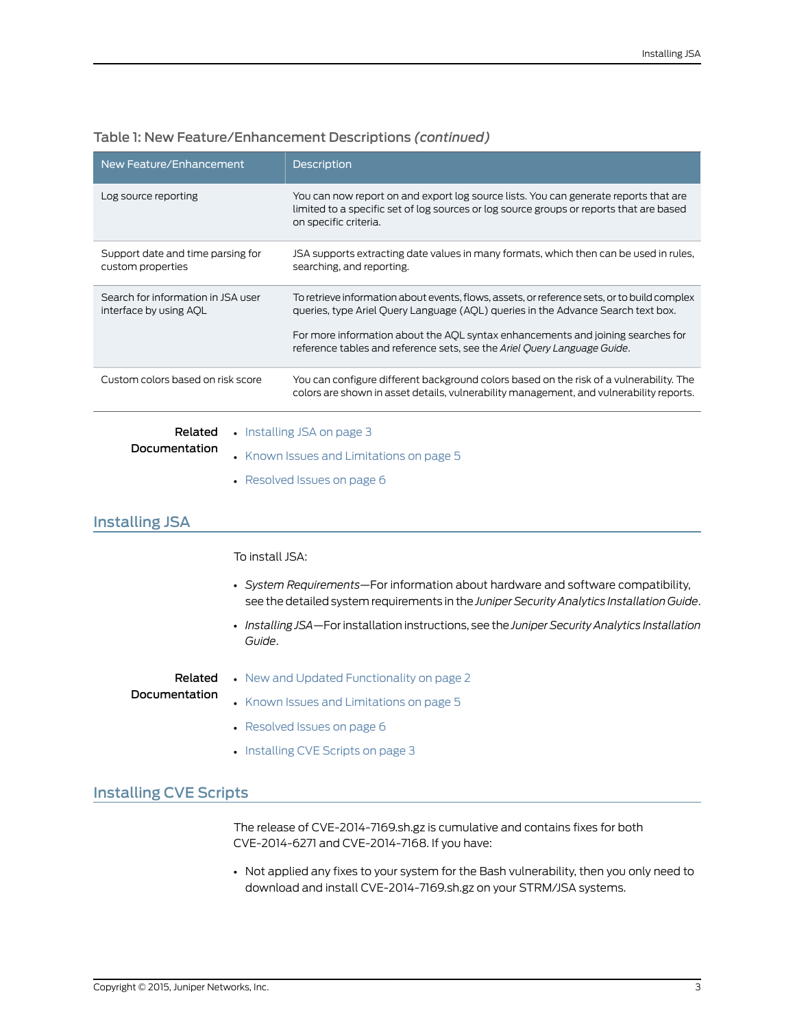| New Feature/Enhancement                                                                                                                                                                                                                                                                               | <b>Description</b>                                                                                                                                                                                       |  |
|-------------------------------------------------------------------------------------------------------------------------------------------------------------------------------------------------------------------------------------------------------------------------------------------------------|----------------------------------------------------------------------------------------------------------------------------------------------------------------------------------------------------------|--|
| Log source reporting                                                                                                                                                                                                                                                                                  | You can now report on and export log source lists. You can generate reports that are<br>limited to a specific set of log sources or log source groups or reports that are based<br>on specific criteria. |  |
| Support date and time parsing for<br>custom properties                                                                                                                                                                                                                                                | JSA supports extracting date values in many formats, which then can be used in rules,<br>searching, and reporting.                                                                                       |  |
| Search for information in JSA user<br>interface by using AQL                                                                                                                                                                                                                                          | To retrieve information about events, flows, assets, or reference sets, or to build complex<br>queries, type Ariel Query Language (AQL) queries in the Advance Search text box.                          |  |
|                                                                                                                                                                                                                                                                                                       | For more information about the AQL syntax enhancements and joining searches for<br>reference tables and reference sets, see the Ariel Query Language Guide.                                              |  |
| Custom colors based on risk score                                                                                                                                                                                                                                                                     | You can configure different background colors based on the risk of a vulnerability. The<br>colors are shown in asset details, vulnerability management, and vulnerability reports.                       |  |
| • Installing JSA on page 3<br>Related<br>Documentation<br>$\mathbf{1} \times \mathbf{1}$ . The contract of the contract of the contract of the contract of the contract of the contract of the contract of the contract of the contract of the contract of the contract of the contract of the contra |                                                                                                                                                                                                          |  |

#### Table 1: New Feature/Enhancement Descriptions *(continued)*

• Known Issues and [Limitations](#page-4-0) on page 5

• [Resolved](#page-5-0) Issues on page 6

#### <span id="page-2-0"></span>Installing JSA

To install JSA:

- *System Requirements*—For information about hardware and software compatibility, see the detailed system requirements in the *JuniperSecurity Analytics Installation Guide*.
- $\cdot$  *Installing JSA*—For installation instructions, see the *Juniper Security Analytics Installation Guide*.

<span id="page-2-1"></span>Related Documentation • New and Updated [Functionality](#page-1-0) on page 2 • Known Issues and [Limitations](#page-4-0) on page 5

- [Resolved](#page-5-0) Issues on page 6
- [Installing](#page-2-1) CVE Scripts on page 3

#### Installing CVE Scripts

The release of CVE-2014-7169.sh.gz is cumulative and contains fixes for both CVE-2014-6271 and CVE-2014-7168. If you have:

• Not applied any fixes to your system for the Bash vulnerability, then you only need to download and install CVE-2014-7169.sh.gz on your STRM/JSA systems.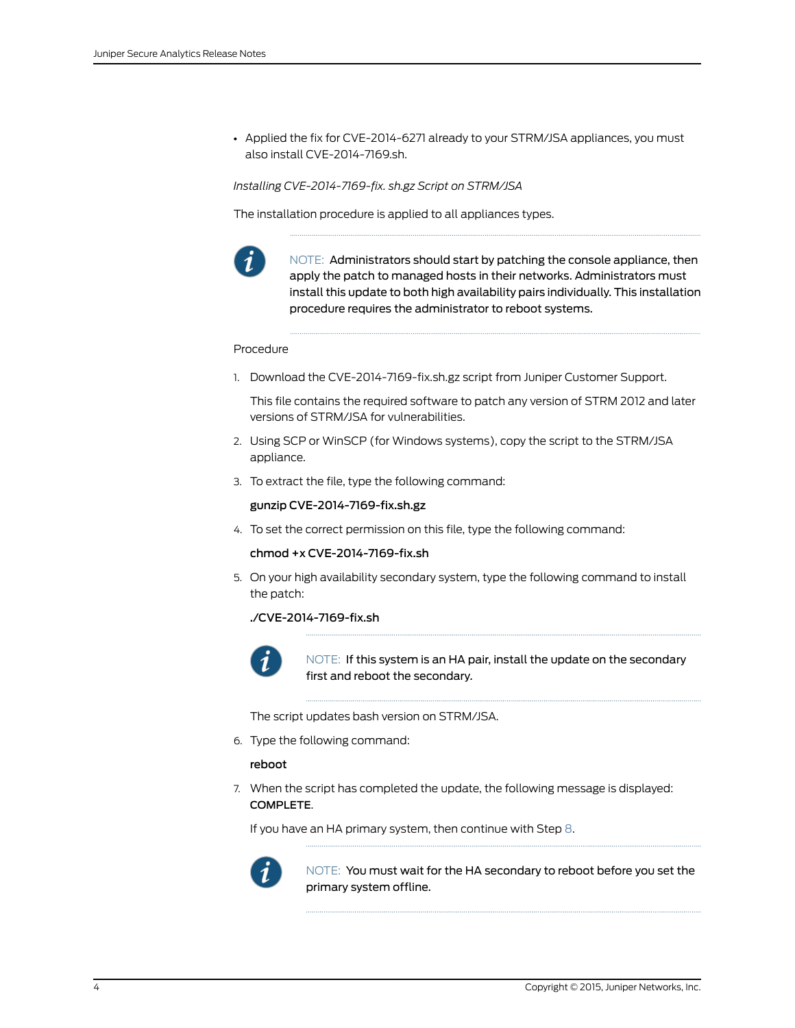• Applied the fix for CVE-2014-6271 already to your STRM/JSA appliances, you must also install CVE-2014-7169.sh.

*Installing CVE-2014-7169-fix. sh.gz Script on STRM/JSA*

The installation procedure is applied to all appliances types.



NOTE: Administrators should start by patching the console appliance, then apply the patch to managed hosts in their networks. Administrators must install this update to both high availability pairs individually. This installation procedure requires the administrator to reboot systems.

#### Procedure

1. Download the CVE-2014-7169-fix.sh.gz script from Juniper Customer Support.

This file contains the required software to patch any version of STRM 2012 and later versions of STRM/JSA for vulnerabilities.

- 2. Using SCP or WinSCP (for Windows systems), copy the script to the STRM/JSA appliance.
- 3. To extract the file, type the following command:

#### gunzip CVE-2014-7169-fix.sh.gz

4. To set the correct permission on this file, type the following command:

#### chmod +x CVE-2014-7169-fix.sh

5. On your high availability secondary system, type the following command to install the patch:

#### ./CVE-2014-7169-fix.sh



NOTE: If this system is an HA pair, install the update on the secondary first and reboot the secondary.

The script updates bash version on STRM/JSA.

6. Type the following command:

reboot

7. When the script has completed the update, the following message is displayed: COMPLETE.

If you have an HA primary system, then continue with Step [8.](#page-4-1)



NOTE: You must wait for the HA secondary to reboot before you set the primary system offline.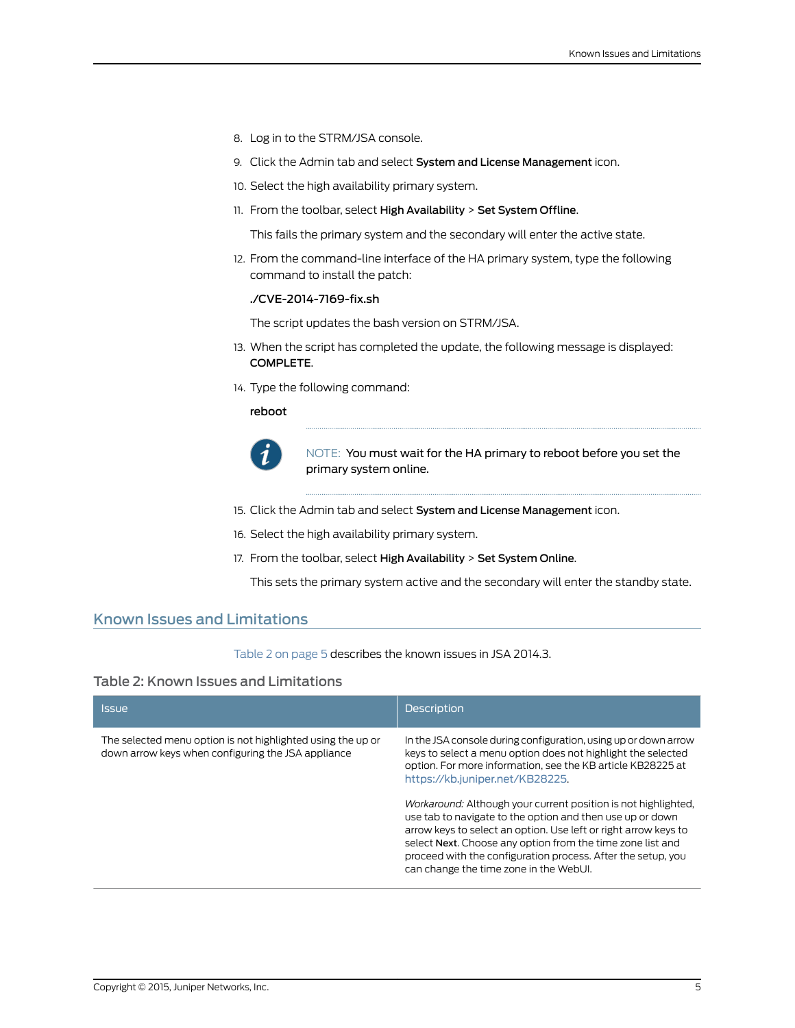- <span id="page-4-1"></span>8. Log in to the STRM/JSA console.
- 9. Click the Admin tab and select System and License Management icon.
- 10. Select the high availability primary system.
- 11. From the toolbar, select High Availability > Set System Offline.

This fails the primary system and the secondary will enter the active state.

12. From the command-line interface of the HA primary system, type the following command to install the patch:

#### ./CVE-2014-7169-fix.sh

The script updates the bash version on STRM/JSA.

- 13. When the script has completed the update, the following message is displayed: COMPLETE.
- 14. Type the following command:

reboot



NOTE: You must wait for the HA primary to reboot before you set the primary system online.

- 15. Click the Admin tab and select System and License Management icon.
- 16. Select the high availability primary system.
- 17. From the toolbar, select High Availability > Set System Online.

This sets the primary system active and the secondary will enter the standby state.

#### <span id="page-4-0"></span>Known Issues and Limitations

#### <span id="page-4-2"></span>[Table](#page-4-2) 2 on page 5 describes the known issues in JSA 2014.3.

#### Table 2: Known Issues and Limitations

| <b>Issue</b>                                                                                                      | <b>Description</b>                                                                                                                                                                                                                                                                                                                                                     |
|-------------------------------------------------------------------------------------------------------------------|------------------------------------------------------------------------------------------------------------------------------------------------------------------------------------------------------------------------------------------------------------------------------------------------------------------------------------------------------------------------|
| The selected menu option is not highlighted using the up or<br>down arrow keys when configuring the JSA appliance | In the JSA console during configuration, using up or down arrow<br>keys to select a menu option does not highlight the selected<br>option. For more information, see the KB article KB28225 at<br>https://kb.juniper.net/KB28225.                                                                                                                                      |
|                                                                                                                   | Workaround: Although your current position is not highlighted.<br>use tab to navigate to the option and then use up or down<br>arrow keys to select an option. Use left or right arrow keys to<br>select Next. Choose any option from the time zone list and<br>proceed with the configuration process. After the setup, you<br>can change the time zone in the WebUI. |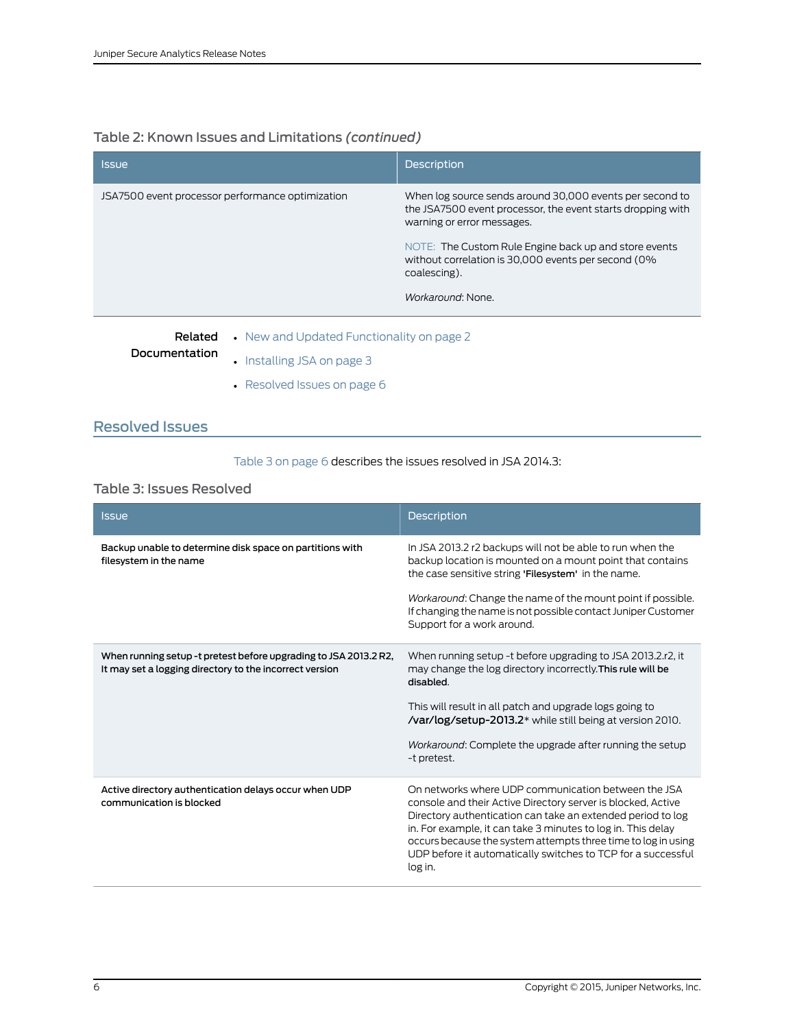## Table 2: Known Issues and Limitations *(continued)*

| <b>Issue</b>                                                                                                                                                                                                                                                                                                                                                                                                | <b>Description</b>                                                                                                                                    |
|-------------------------------------------------------------------------------------------------------------------------------------------------------------------------------------------------------------------------------------------------------------------------------------------------------------------------------------------------------------------------------------------------------------|-------------------------------------------------------------------------------------------------------------------------------------------------------|
| JSA7500 event processor performance optimization                                                                                                                                                                                                                                                                                                                                                            | When log source sends around 30,000 events per second to<br>the JSA7500 event processor, the event starts dropping with<br>warning or error messages. |
|                                                                                                                                                                                                                                                                                                                                                                                                             | NOTE: The Custom Rule Engine back up and store events<br>without correlation is 30,000 events per second (0%<br>coalescing).                          |
|                                                                                                                                                                                                                                                                                                                                                                                                             | Workaround: None.                                                                                                                                     |
| • New and Updated Functionality on page 2<br>Related<br>Documentation<br>$\mathbf{r}$ $\mathbf{r}$ $\mathbf{r}$ $\mathbf{r}$ $\mathbf{r}$ $\mathbf{r}$ $\mathbf{r}$ $\mathbf{r}$ $\mathbf{r}$ $\mathbf{r}$ $\mathbf{r}$ $\mathbf{r}$ $\mathbf{r}$ $\mathbf{r}$ $\mathbf{r}$ $\mathbf{r}$ $\mathbf{r}$ $\mathbf{r}$ $\mathbf{r}$ $\mathbf{r}$ $\mathbf{r}$ $\mathbf{r}$ $\mathbf{r}$ $\mathbf{r}$ $\mathbf{$ |                                                                                                                                                       |

- [Installing](#page-2-0) JSA on page 3
	- [Resolved](#page-5-0) Issues on page 6

## <span id="page-5-0"></span>Resolved Issues

#### <span id="page-5-1"></span>[Table](#page-5-1) 3 on page 6 describes the issues resolved in JSA 2014.3:

#### Table 3: Issues Resolved

| <b>Issue</b>                                                                                                                | <b>Description</b>                                                                                                                                                                                                                                                                                                                                                                             |
|-----------------------------------------------------------------------------------------------------------------------------|------------------------------------------------------------------------------------------------------------------------------------------------------------------------------------------------------------------------------------------------------------------------------------------------------------------------------------------------------------------------------------------------|
| Backup unable to determine disk space on partitions with<br>filesystem in the name                                          | In JSA 2013.2 r2 backups will not be able to run when the<br>backup location is mounted on a mount point that contains<br>the case sensitive string 'Filesystem' in the name.                                                                                                                                                                                                                  |
|                                                                                                                             | Workaround: Change the name of the mount point if possible.<br>If changing the name is not possible contact Juniper Customer<br>Support for a work around.                                                                                                                                                                                                                                     |
| When running setup -t pretest before upgrading to JSA 2013.2 R2,<br>It may set a logging directory to the incorrect version | When running setup -t before upgrading to JSA 2013.2.r2, it<br>may change the log directory incorrectly. This rule will be<br>disabled.                                                                                                                                                                                                                                                        |
|                                                                                                                             | This will result in all patch and upgrade logs going to<br><b>/var/log/setup-2013.2*</b> while still being at version 2010.                                                                                                                                                                                                                                                                    |
|                                                                                                                             | Workaround: Complete the upgrade after running the setup<br>-t pretest.                                                                                                                                                                                                                                                                                                                        |
| Active directory authentication delays occur when UDP<br>communication is blocked                                           | On networks where UDP communication between the JSA<br>console and their Active Directory server is blocked, Active<br>Directory authentication can take an extended period to log<br>in. For example, it can take 3 minutes to log in. This delay<br>occurs because the system attempts three time to log in using<br>UDP before it automatically switches to TCP for a successful<br>log in. |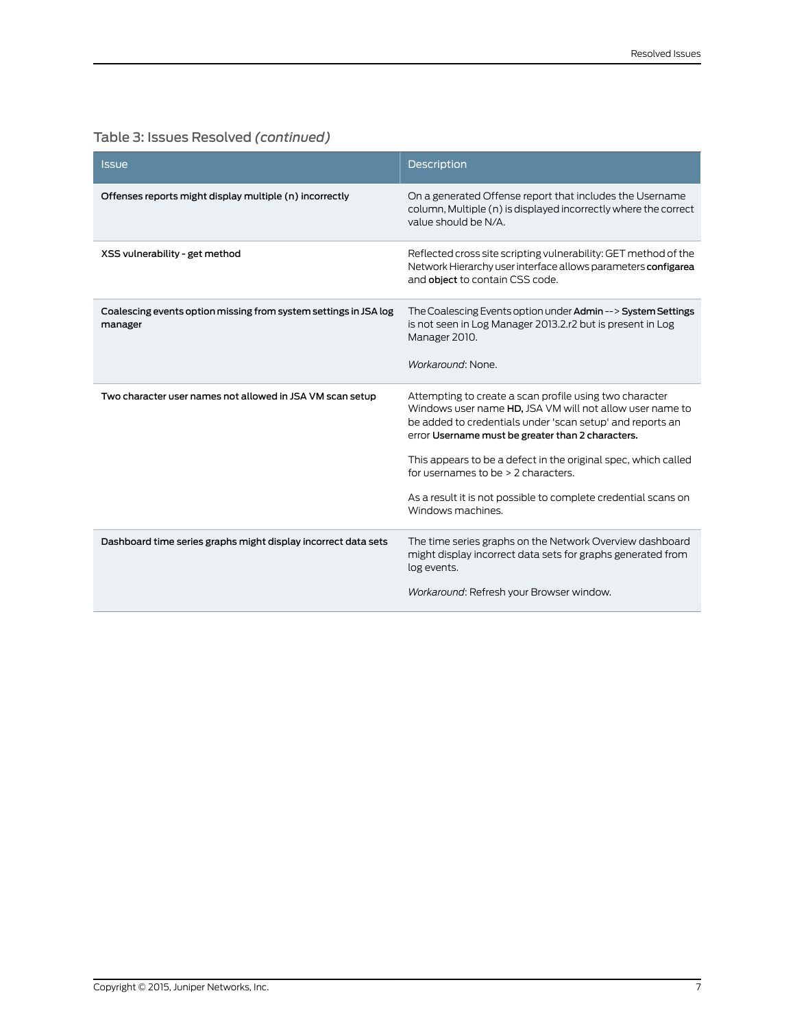| <b>Issue</b>                                                                | <b>Description</b>                                                                                                                                                                                                                                                                                                                                                                                                                      |
|-----------------------------------------------------------------------------|-----------------------------------------------------------------------------------------------------------------------------------------------------------------------------------------------------------------------------------------------------------------------------------------------------------------------------------------------------------------------------------------------------------------------------------------|
| Offenses reports might display multiple (n) incorrectly                     | On a generated Offense report that includes the Username<br>column, Multiple (n) is displayed incorrectly where the correct<br>value should be N/A.                                                                                                                                                                                                                                                                                     |
| XSS vulnerability - get method                                              | Reflected cross site scripting vulnerability: GET method of the<br>Network Hierarchy user interface allows parameters configarea<br>and object to contain CSS code.                                                                                                                                                                                                                                                                     |
| Coalescing events option missing from system settings in JSA log<br>manager | The Coalescing Events option under Admin --> System Settings<br>is not seen in Log Manager 2013.2.r2 but is present in Log<br>Manager 2010.<br>Workaround: None.                                                                                                                                                                                                                                                                        |
| Two character user names not allowed in JSA VM scan setup                   | Attempting to create a scan profile using two character<br>Windows user name HD, JSA VM will not allow user name to<br>be added to credentials under 'scan setup' and reports an<br>error Username must be greater than 2 characters.<br>This appears to be a defect in the original spec, which called<br>for usernames to be $>$ 2 characters.<br>As a result it is not possible to complete credential scans on<br>Windows machines. |
| Dashboard time series graphs might display incorrect data sets              | The time series graphs on the Network Overview dashboard<br>might display incorrect data sets for graphs generated from<br>log events.<br>Workaround: Refresh your Browser window.                                                                                                                                                                                                                                                      |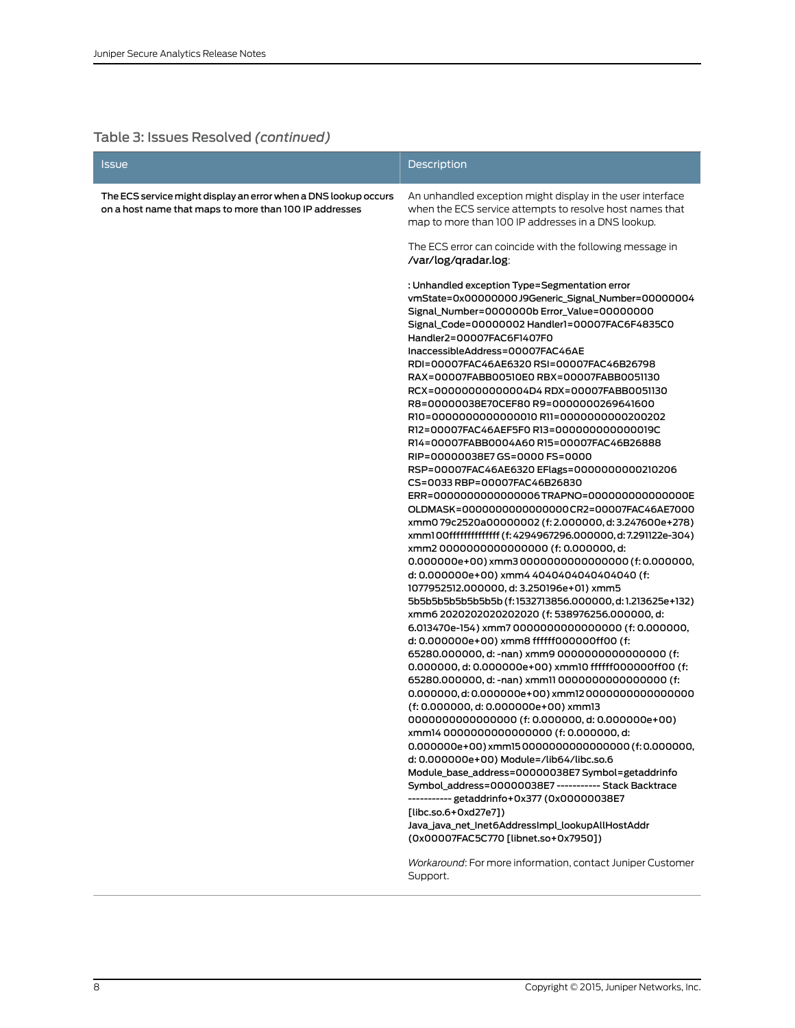| The ECS service might display an error when a DNS lookup occurs<br>An unhandled exception might display in the user interface<br>when the ECS service attempts to resolve host names that<br>on a host name that maps to more than 100 IP addresses<br>map to more than 100 IP addresses in a DNS lookup.<br>The ECS error can coincide with the following message in<br>/var/log/gradar.log:<br>: Unhandled exception Type=Segmentation error<br>vmState=0x00000000J9Generic_Signal_Number=00000004<br>Signal_Number=0000000b Error_Value=00000000<br>Signal_Code=00000002 Handler1=00007FAC6F4835C0<br>Handler2=00007FAC6F1407F0<br>InaccessibleAddress=00007FAC46AE<br>RDI=00007FAC46AE6320 RSI=00007FAC46B26798<br>RAX=00007FABB00510E0 RBX=00007FABB0051130<br>RCX=000000000000004D4 RDX=00007FABB0051130<br>R8=00000038E70CEF80 R9=0000000269641600<br>R10=00000000000000010 R11=00000000000200202<br>R12=00007FAC46AEF5F0 R13=0000000000000019C<br>R14=00007FABB0004A60 R15=00007FAC46B26888<br>RIP=00000038E7GS=0000FS=0000<br>RSP=00007FAC46AE6320 EFlags=0000000000210206<br>CS=0033 RBP=00007FAC46B26830<br>ERR=00000000000000006TRAPNO=0000000000000000E<br>OLDMASK=00000000000000000CR2=00007FAC46AE7000<br>xmm079c2520a00000002 (f: 2.000000, d: 3.247600e+278)<br>xmm100fffffffffffffff (f: 4294967296.000000, d: 7.291122e-304)<br>xmm200000000000000000 (f: 0.000000, d:<br>0.000000e+00) xmm30000000000000000 (f: 0.000000,<br>d: 0.000000e+00) xmm4 4040404040404040 (f:<br>1077952512.000000, d: 3.250196e+01) xmm5<br>5b5b5b5b5b5b5b5b (f:1532713856.000000,d:1.213625e+132)<br>xmm6 2020202020202020 (f: 538976256.000000, d:<br>6.013470e-154) xmm7 0000000000000000 (f: 0.000000,<br>d: 0.000000e+00) xmm8 ffffff000000ff00 (f:<br>65280.000000, d: -nan) xmm9 00000000000000000 (f:<br>0.000000, d: 0.000000e+00) xmm10 ffffff000000ff00 (f:<br>65280.000000, d: -nan) xmm11 0000000000000000 (f:<br>0.000000, d: 0.000000e+00) xmm120000000000000000<br>(f: 0.000000, d: 0.000000e+00) xmm13<br>0000000000000000 (f: 0.000000, d: 0.000000e+00)<br>xmm14 00000000000000000 (f: 0.000000, d:<br>0.000000e+00) xmm150000000000000000 (f:0.000000,<br>d: 0.000000e+00) Module=/lib64/libc.so.6<br>Module_base_address=00000038E7 Symbol=getaddrinfo<br>Symbol_address=00000038E7----------- Stack Backtrace<br>---------- getaddrinfo+0x377 (0x00000038E7<br>[libc.so.6+0xd27e7])<br>Java_java_net_Inet6AddressImpl_lookupAllHostAddr<br>(0x00007FAC5C770 [libnet.so+0x7950]) | Issue | Description |
|------------------------------------------------------------------------------------------------------------------------------------------------------------------------------------------------------------------------------------------------------------------------------------------------------------------------------------------------------------------------------------------------------------------------------------------------------------------------------------------------------------------------------------------------------------------------------------------------------------------------------------------------------------------------------------------------------------------------------------------------------------------------------------------------------------------------------------------------------------------------------------------------------------------------------------------------------------------------------------------------------------------------------------------------------------------------------------------------------------------------------------------------------------------------------------------------------------------------------------------------------------------------------------------------------------------------------------------------------------------------------------------------------------------------------------------------------------------------------------------------------------------------------------------------------------------------------------------------------------------------------------------------------------------------------------------------------------------------------------------------------------------------------------------------------------------------------------------------------------------------------------------------------------------------------------------------------------------------------------------------------------------------------------------------------------------------------------------------------------------------------------------------------------------------------------------------------------------------------------------------------------------------------------------------------------------------------------------------------------------------------------------------------------------------------------------------------------------------------------------------------|-------|-------------|
|                                                                                                                                                                                                                                                                                                                                                                                                                                                                                                                                                                                                                                                                                                                                                                                                                                                                                                                                                                                                                                                                                                                                                                                                                                                                                                                                                                                                                                                                                                                                                                                                                                                                                                                                                                                                                                                                                                                                                                                                                                                                                                                                                                                                                                                                                                                                                                                                                                                                                                      |       |             |
|                                                                                                                                                                                                                                                                                                                                                                                                                                                                                                                                                                                                                                                                                                                                                                                                                                                                                                                                                                                                                                                                                                                                                                                                                                                                                                                                                                                                                                                                                                                                                                                                                                                                                                                                                                                                                                                                                                                                                                                                                                                                                                                                                                                                                                                                                                                                                                                                                                                                                                      |       |             |
|                                                                                                                                                                                                                                                                                                                                                                                                                                                                                                                                                                                                                                                                                                                                                                                                                                                                                                                                                                                                                                                                                                                                                                                                                                                                                                                                                                                                                                                                                                                                                                                                                                                                                                                                                                                                                                                                                                                                                                                                                                                                                                                                                                                                                                                                                                                                                                                                                                                                                                      |       |             |
| Workaround: For more information, contact Juniper Customer<br>Support.                                                                                                                                                                                                                                                                                                                                                                                                                                                                                                                                                                                                                                                                                                                                                                                                                                                                                                                                                                                                                                                                                                                                                                                                                                                                                                                                                                                                                                                                                                                                                                                                                                                                                                                                                                                                                                                                                                                                                                                                                                                                                                                                                                                                                                                                                                                                                                                                                               |       |             |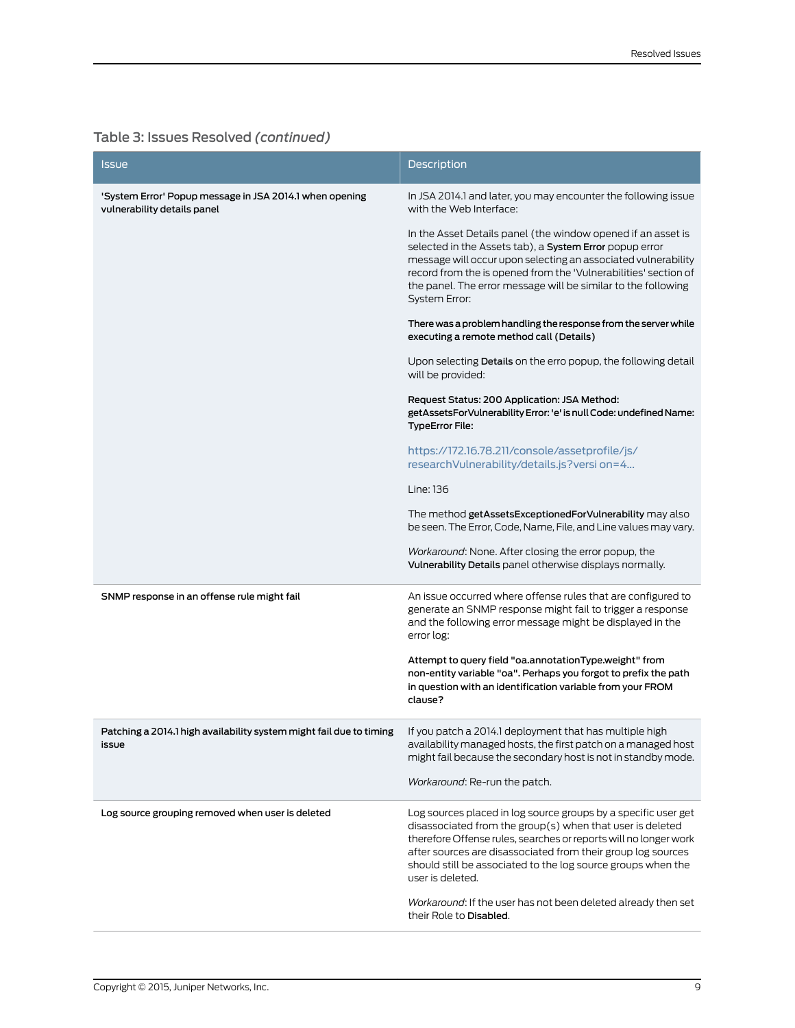| <b>Issue</b>                                                                                                                         | <b>Description</b>                                                                                                                                                                                                                                                                                                                                   |
|--------------------------------------------------------------------------------------------------------------------------------------|------------------------------------------------------------------------------------------------------------------------------------------------------------------------------------------------------------------------------------------------------------------------------------------------------------------------------------------------------|
| 'System Error' Popup message in JSA 2014.1 when opening<br>vulnerability details panel                                               | In JSA 2014.1 and later, you may encounter the following issue<br>with the Web Interface:                                                                                                                                                                                                                                                            |
|                                                                                                                                      | In the Asset Details panel (the window opened if an asset is<br>selected in the Assets tab), a System Error popup error<br>message will occur upon selecting an associated vulnerability<br>record from the is opened from the 'Vulnerabilities' section of<br>the panel. The error message will be similar to the following<br><b>System Error:</b> |
|                                                                                                                                      | There was a problem handling the response from the server while<br>executing a remote method call (Details)                                                                                                                                                                                                                                          |
|                                                                                                                                      | Upon selecting Details on the erro popup, the following detail<br>will be provided:                                                                                                                                                                                                                                                                  |
|                                                                                                                                      | Request Status: 200 Application: JSA Method:<br>getAssetsForVulnerability Error: 'e' is null Code: undefined Name:<br><b>TypeError File:</b>                                                                                                                                                                                                         |
|                                                                                                                                      | https://172.16.78.211/console/assetprofile/js/<br>researchVulnerability/details.js?versi on=4                                                                                                                                                                                                                                                        |
|                                                                                                                                      | Line: 136                                                                                                                                                                                                                                                                                                                                            |
|                                                                                                                                      | The method getAssetsExceptionedForVulnerability may also<br>be seen. The Error, Code, Name, File, and Line values may vary.                                                                                                                                                                                                                          |
|                                                                                                                                      | Workaround: None. After closing the error popup, the<br>Vulnerability Details panel otherwise displays normally.                                                                                                                                                                                                                                     |
| SNMP response in an offense rule might fail                                                                                          | An issue occurred where offense rules that are configured to<br>generate an SNMP response might fail to trigger a response<br>and the following error message might be displayed in the<br>error log:                                                                                                                                                |
|                                                                                                                                      | Attempt to query field "oa.annotationType.weight" from<br>non-entity variable "oa". Perhaps you forgot to prefix the path<br>in question with an identification variable from your FROM<br>clause?                                                                                                                                                   |
| Patching a 2014.1 high availability system might fail due to timing If you patch a 2014.1 deployment that has multiple high<br>issue | availability managed hosts, the first patch on a managed host<br>might fail because the secondary host is not in standby mode.                                                                                                                                                                                                                       |
|                                                                                                                                      | <i>Workaround</i> : Re-run the patch.                                                                                                                                                                                                                                                                                                                |
| Log source grouping removed when user is deleted                                                                                     | Log sources placed in log source groups by a specific user get<br>disassociated from the group(s) when that user is deleted<br>therefore Offense rules, searches or reports will no longer work<br>after sources are disassociated from their group log sources<br>should still be associated to the log source groups when the<br>user is deleted.  |
|                                                                                                                                      | Workaround: If the user has not been deleted already then set<br>their Role to Disabled.                                                                                                                                                                                                                                                             |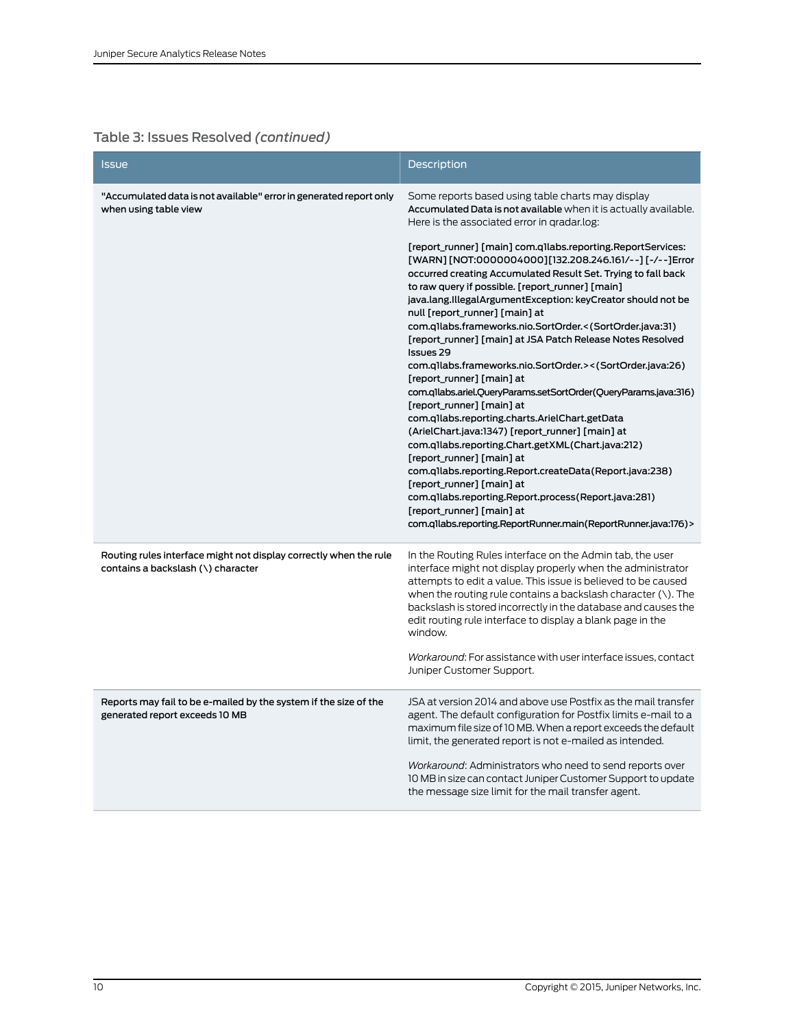| <b>Issue</b>                                                                                            | Description                                                                                                                                                                                                                                                                                                                                                                                                                                                                                                                                                                                                                                                                                                                                                                                                                                                                                                                                                                                                                                                                                                                  |
|---------------------------------------------------------------------------------------------------------|------------------------------------------------------------------------------------------------------------------------------------------------------------------------------------------------------------------------------------------------------------------------------------------------------------------------------------------------------------------------------------------------------------------------------------------------------------------------------------------------------------------------------------------------------------------------------------------------------------------------------------------------------------------------------------------------------------------------------------------------------------------------------------------------------------------------------------------------------------------------------------------------------------------------------------------------------------------------------------------------------------------------------------------------------------------------------------------------------------------------------|
| "Accumulated data is not available" error in generated report only<br>when using table view             | Some reports based using table charts may display<br>Accumulated Data is not available when it is actually available.<br>Here is the associated error in gradar.log:                                                                                                                                                                                                                                                                                                                                                                                                                                                                                                                                                                                                                                                                                                                                                                                                                                                                                                                                                         |
|                                                                                                         | [report_runner] [main] com.qllabs.reporting.ReportServices:<br>[WARN] [NOT:0000004000][132.208.246.161/--] [-/--]Error<br>occurred creating Accumulated Result Set. Trying to fall back<br>to raw query if possible. [report_runner] [main]<br>java.lang.IllegalArgumentException: keyCreator should not be<br>null [report_runner] [main] at<br>com.q1labs.frameworks.nio.SortOrder.<(SortOrder.java:31)<br>[report_runner] [main] at JSA Patch Release Notes Resolved<br><b>Issues 29</b><br>com.q1labs.frameworks.nio.SortOrder.><(SortOrder.java:26)<br>[report_runner] [main] at<br>com.q1labs.ariel.QueryParams.setSortOrder(QueryParams.java:316)<br>[report_runner] [main] at<br>com.qllabs.reporting.charts.ArielChart.getData<br>(ArielChart.java:1347) [report_runner] [main] at<br>com.qllabs.reporting.Chart.getXML(Chart.java:212)<br>[report_runner] [main] at<br>com.qllabs.reporting.Report.createData(Report.java:238)<br>[report_runner] [main] at<br>com.qllabs.reporting.Report.process(Report.java:281)<br>[report_runner] [main] at<br>com.q1labs.reporting.ReportRunner.main(ReportRunner.java:176)> |
| Routing rules interface might not display correctly when the rule<br>contains a backslash (\) character | In the Routing Rules interface on the Admin tab, the user<br>interface might not display properly when the administrator<br>attempts to edit a value. This issue is believed to be caused<br>when the routing rule contains a backslash character $(\cdot)$ . The<br>backslash is stored incorrectly in the database and causes the<br>edit routing rule interface to display a blank page in the<br>window.<br>Workaround: For assistance with user interface issues, contact<br>Juniper Customer Support.                                                                                                                                                                                                                                                                                                                                                                                                                                                                                                                                                                                                                  |
| Reports may fail to be e-mailed by the system if the size of the                                        | JSA at version 2014 and above use Postfix as the mail transfer                                                                                                                                                                                                                                                                                                                                                                                                                                                                                                                                                                                                                                                                                                                                                                                                                                                                                                                                                                                                                                                               |
| generated report exceeds 10 MB                                                                          | agent. The default configuration for Postfix limits e-mail to a<br>maximum file size of 10 MB. When a report exceeds the default<br>limit, the generated report is not e-mailed as intended.                                                                                                                                                                                                                                                                                                                                                                                                                                                                                                                                                                                                                                                                                                                                                                                                                                                                                                                                 |
|                                                                                                         | Workaround: Administrators who need to send reports over<br>10 MB in size can contact Juniper Customer Support to update<br>the message size limit for the mail transfer agent.                                                                                                                                                                                                                                                                                                                                                                                                                                                                                                                                                                                                                                                                                                                                                                                                                                                                                                                                              |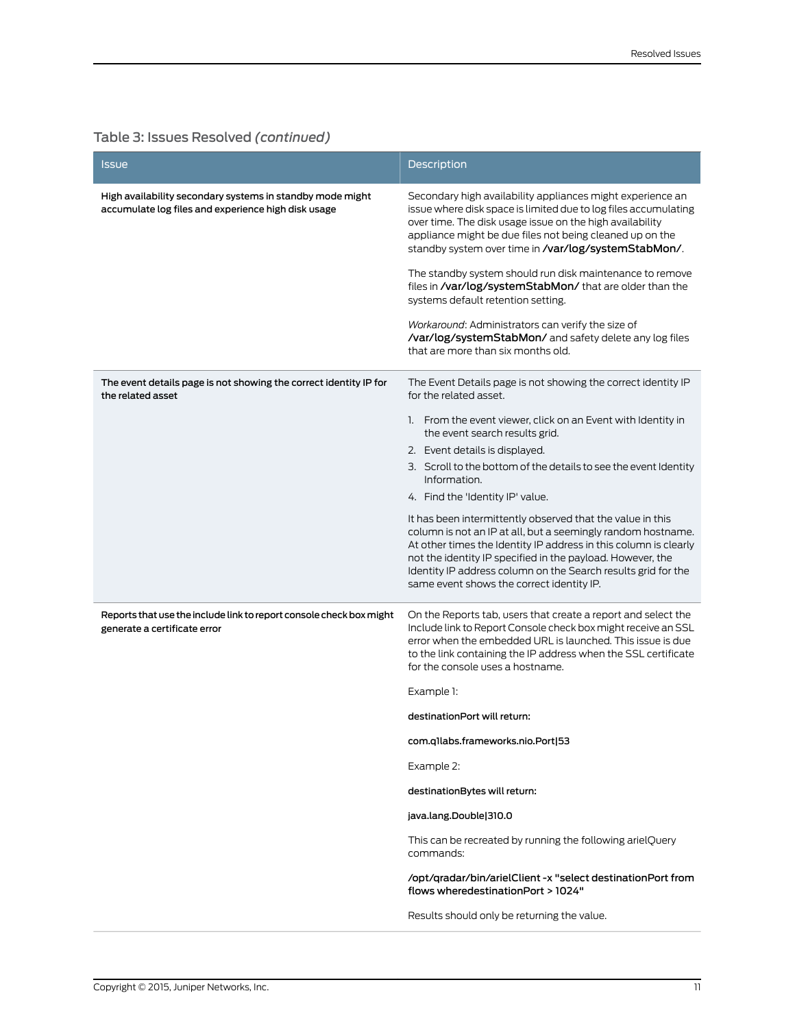| Issue                                                                                                            | <b>Description</b>                                                                                                                                                                                                                                                                                                                                                         |
|------------------------------------------------------------------------------------------------------------------|----------------------------------------------------------------------------------------------------------------------------------------------------------------------------------------------------------------------------------------------------------------------------------------------------------------------------------------------------------------------------|
| High availability secondary systems in standby mode might<br>accumulate log files and experience high disk usage | Secondary high availability appliances might experience an<br>issue where disk space is limited due to log files accumulating<br>over time. The disk usage issue on the high availability<br>appliance might be due files not being cleaned up on the<br>standby system over time in /var/log/systemStabMon/.                                                              |
|                                                                                                                  | The standby system should run disk maintenance to remove<br>files in /var/log/systemStabMon/ that are older than the<br>systems default retention setting.                                                                                                                                                                                                                 |
|                                                                                                                  | Workaround: Administrators can verify the size of<br>/var/log/systemStabMon/ and safety delete any log files<br>that are more than six months old.                                                                                                                                                                                                                         |
| The event details page is not showing the correct identity IP for<br>the related asset                           | The Event Details page is not showing the correct identity IP<br>for the related asset.                                                                                                                                                                                                                                                                                    |
|                                                                                                                  | 1. From the event viewer, click on an Event with Identity in<br>the event search results grid.                                                                                                                                                                                                                                                                             |
|                                                                                                                  | 2. Event details is displayed.                                                                                                                                                                                                                                                                                                                                             |
|                                                                                                                  | 3. Scroll to the bottom of the details to see the event Identity<br>Information.                                                                                                                                                                                                                                                                                           |
|                                                                                                                  | 4. Find the 'Identity IP' value.                                                                                                                                                                                                                                                                                                                                           |
|                                                                                                                  | It has been intermittently observed that the value in this<br>column is not an IP at all, but a seemingly random hostname.<br>At other times the Identity IP address in this column is clearly<br>not the identity IP specified in the payload. However, the<br>Identity IP address column on the Search results grid for the<br>same event shows the correct identity IP. |
| Reports that use the include link to report console check box might<br>generate a certificate error              | On the Reports tab, users that create a report and select the<br>Include link to Report Console check box might receive an SSL<br>error when the embedded URL is launched. This issue is due<br>to the link containing the IP address when the SSL certificate<br>for the console uses a hostname.                                                                         |
|                                                                                                                  | Example 1:                                                                                                                                                                                                                                                                                                                                                                 |
|                                                                                                                  | destinationPort will return:                                                                                                                                                                                                                                                                                                                                               |
|                                                                                                                  | com.qllabs.frameworks.nio.Port 53                                                                                                                                                                                                                                                                                                                                          |
|                                                                                                                  | Example 2:                                                                                                                                                                                                                                                                                                                                                                 |
|                                                                                                                  | destinationBytes will return:                                                                                                                                                                                                                                                                                                                                              |
|                                                                                                                  | java.lang.Double 310.0                                                                                                                                                                                                                                                                                                                                                     |
|                                                                                                                  | This can be recreated by running the following arielQuery<br>commands:                                                                                                                                                                                                                                                                                                     |
|                                                                                                                  | /opt/gradar/bin/arielClient -x "select destinationPort from<br>flows wheredestinationPort > 1024"                                                                                                                                                                                                                                                                          |
|                                                                                                                  | Results should only be returning the value.                                                                                                                                                                                                                                                                                                                                |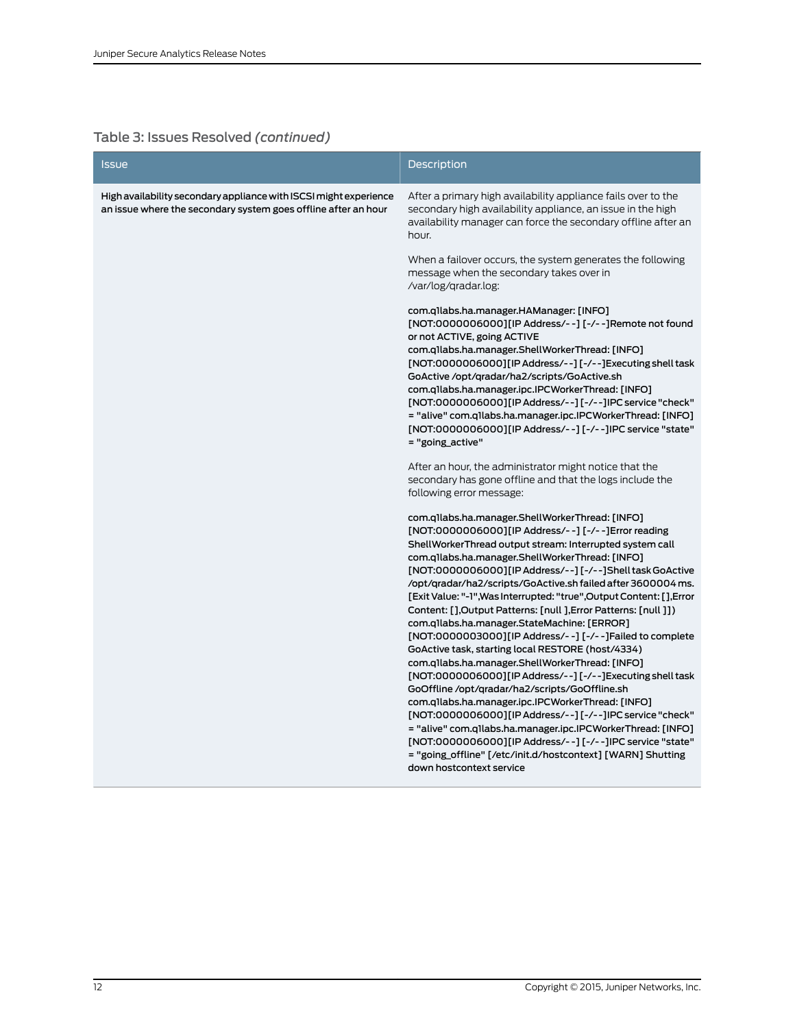| <b>Issue</b>                                                                                                                        | <b>Description</b>                                                                                                                                                                                                                                                                                                                                                                                                                                                                                                                                                                                                                                                                                                                                                                                                                                                                                                                                                                                                                                                                                                                                                     |
|-------------------------------------------------------------------------------------------------------------------------------------|------------------------------------------------------------------------------------------------------------------------------------------------------------------------------------------------------------------------------------------------------------------------------------------------------------------------------------------------------------------------------------------------------------------------------------------------------------------------------------------------------------------------------------------------------------------------------------------------------------------------------------------------------------------------------------------------------------------------------------------------------------------------------------------------------------------------------------------------------------------------------------------------------------------------------------------------------------------------------------------------------------------------------------------------------------------------------------------------------------------------------------------------------------------------|
| High availability secondary appliance with ISCSI might experience<br>an issue where the secondary system goes offline after an hour | After a primary high availability appliance fails over to the<br>secondary high availability appliance, an issue in the high<br>availability manager can force the secondary offline after an<br>hour.                                                                                                                                                                                                                                                                                                                                                                                                                                                                                                                                                                                                                                                                                                                                                                                                                                                                                                                                                                 |
|                                                                                                                                     | When a failover occurs, the system generates the following<br>message when the secondary takes over in<br>/var/log/gradar.log:                                                                                                                                                                                                                                                                                                                                                                                                                                                                                                                                                                                                                                                                                                                                                                                                                                                                                                                                                                                                                                         |
|                                                                                                                                     | com.q1labs.ha.manager.HAManager: [INFO]<br>[NOT:0000006000][IP Address/--] [-/--] Remote not found<br>or not ACTIVE, going ACTIVE<br>com.q1labs.ha.manager.ShellWorkerThread: [INFO]<br>[NOT:0000006000][IP Address/--][-/--]Executing shell task<br>GoActive /opt/qradar/ha2/scripts/GoActive.sh<br>com.q1labs.ha.manager.ipc.IPCWorkerThread: [INFO]<br>[NOT:0000006000][IP Address/--][-/--]IPC service "check"<br>= "alive" com.q1labs.ha.manager.ipc.IPCWorkerThread: [INFO]<br>[NOT:0000006000][IP Address/--] [-/--]IPC service "state"<br>= "going_active"                                                                                                                                                                                                                                                                                                                                                                                                                                                                                                                                                                                                     |
|                                                                                                                                     | After an hour, the administrator might notice that the<br>secondary has gone offline and that the logs include the<br>following error message:                                                                                                                                                                                                                                                                                                                                                                                                                                                                                                                                                                                                                                                                                                                                                                                                                                                                                                                                                                                                                         |
|                                                                                                                                     | com.q1labs.ha.manager.ShellWorkerThread: [INFO]<br>[NOT:0000006000][IP Address/--] [-/--]Error reading<br>ShellWorkerThread output stream: Interrupted system call<br>com.q1labs.ha.manager.ShellWorkerThread: [INFO]<br>[NOT:0000006000][IP Address/--][-/--]Shell task GoActive<br>/opt/qradar/ha2/scripts/GoActive.sh failed after 3600004 ms.<br>[Exit Value: "-1", Was Interrupted: "true", Output Content: [], Error<br>Content: [],Output Patterns: [null ],Error Patterns: [null ]])<br>com.q1labs.ha.manager.StateMachine: [ERROR]<br>[NOT:0000003000][IP Address/--] [-/--]Failed to complete<br>GoActive task, starting local RESTORE (host/4334)<br>com.q1labs.ha.manager.ShellWorkerThread: [INFO]<br>[NOT:0000006000][IP Address/--][-/--]Executing shell task<br>GoOffline /opt/qradar/ha2/scripts/GoOffline.sh<br>com.q1labs.ha.manager.ipc.IPCWorkerThread: [INFO]<br>[NOT:0000006000][IP Address/--][-/--]IPC service "check"<br>= "alive" com.q1labs.ha.manager.ipc.IPCWorkerThread: [INFO]<br>[NOT:0000006000][IP Address/--] [-/--]IPC service "state"<br>= "going_offline" [/etc/init.d/hostcontext] [WARN] Shutting<br>down hostcontext service |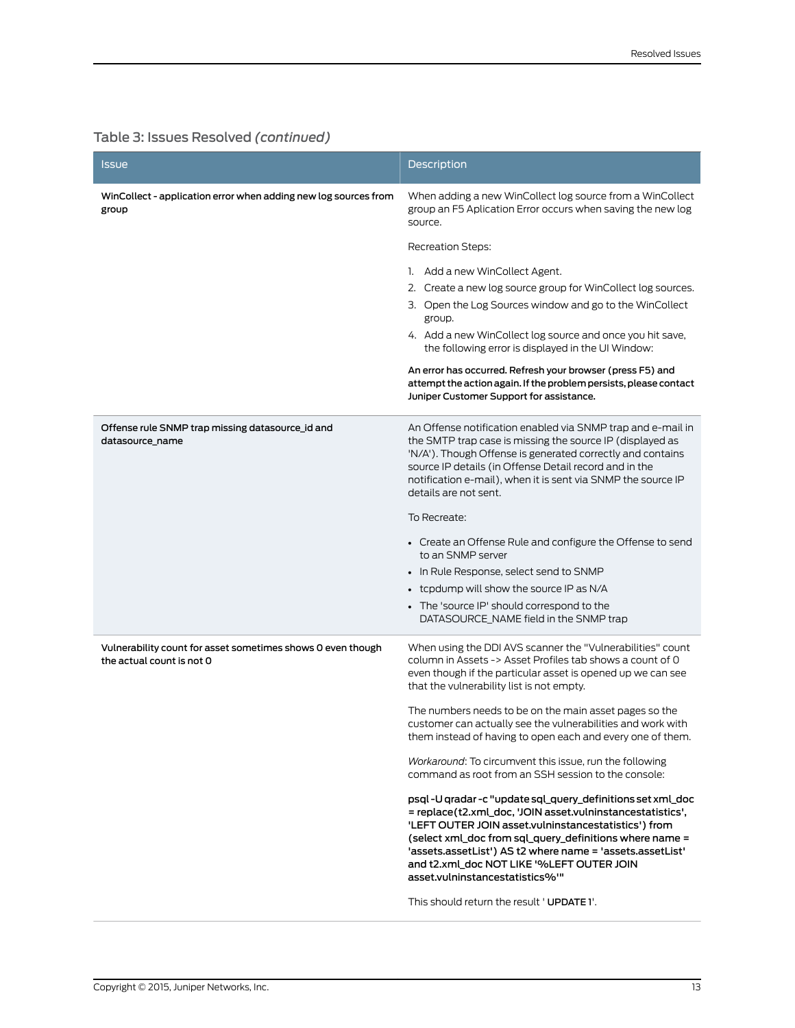| <b>Issue</b>                                                                             | <b>Description</b>                                                                                                                                                                                                                                                                                                                                                                       |
|------------------------------------------------------------------------------------------|------------------------------------------------------------------------------------------------------------------------------------------------------------------------------------------------------------------------------------------------------------------------------------------------------------------------------------------------------------------------------------------|
| WinCollect - application error when adding new log sources from<br>group                 | When adding a new WinCollect log source from a WinCollect<br>group an F5 Aplication Error occurs when saving the new log<br>source.                                                                                                                                                                                                                                                      |
|                                                                                          | Recreation Steps:                                                                                                                                                                                                                                                                                                                                                                        |
|                                                                                          | 1. Add a new WinCollect Agent.                                                                                                                                                                                                                                                                                                                                                           |
|                                                                                          | 2. Create a new log source group for WinCollect log sources.                                                                                                                                                                                                                                                                                                                             |
|                                                                                          | 3. Open the Log Sources window and go to the WinCollect<br>group.                                                                                                                                                                                                                                                                                                                        |
|                                                                                          | 4. Add a new WinCollect log source and once you hit save,<br>the following error is displayed in the UI Window:                                                                                                                                                                                                                                                                          |
|                                                                                          | An error has occurred. Refresh your browser (press F5) and<br>attempt the action again. If the problem persists, please contact<br>Juniper Customer Support for assistance.                                                                                                                                                                                                              |
| Offense rule SNMP trap missing datasource_id and<br>datasource_name                      | An Offense notification enabled via SNMP trap and e-mail in<br>the SMTP trap case is missing the source IP (displayed as<br>'N/A'). Though Offense is generated correctly and contains<br>source IP details (in Offense Detail record and in the<br>notification e-mail), when it is sent via SNMP the source IP<br>details are not sent.                                                |
|                                                                                          | To Recreate:                                                                                                                                                                                                                                                                                                                                                                             |
|                                                                                          | • Create an Offense Rule and configure the Offense to send<br>to an SNMP server                                                                                                                                                                                                                                                                                                          |
|                                                                                          | • In Rule Response, select send to SNMP                                                                                                                                                                                                                                                                                                                                                  |
|                                                                                          | • tcpdump will show the source IP as N/A                                                                                                                                                                                                                                                                                                                                                 |
|                                                                                          | • The 'source IP' should correspond to the<br>DATASOURCE_NAME field in the SNMP trap                                                                                                                                                                                                                                                                                                     |
| Vulnerability count for asset sometimes shows 0 even though<br>the actual count is not 0 | When using the DDI AVS scanner the "Vulnerabilities" count<br>column in Assets -> Asset Profiles tab shows a count of 0<br>even though if the particular asset is opened up we can see<br>that the vulnerability list is not empty.                                                                                                                                                      |
|                                                                                          | The numbers needs to be on the main asset pages so the<br>customer can actually see the vulnerabilities and work with<br>them instead of having to open each and every one of them.                                                                                                                                                                                                      |
|                                                                                          | Workaround: To circumvent this issue, run the following<br>command as root from an SSH session to the console:                                                                                                                                                                                                                                                                           |
|                                                                                          | psql -U qradar -c "update sql_query_definitions set xml_doc<br>= replace(t2.xml_doc, 'JOIN asset.vulninstancestatistics',<br>'LEFT OUTER JOIN asset.vulninstancestatistics') from<br>(select xml doc from sql query definitions where name =<br>'assets.assetList') AS t2 where name = 'assets.assetList'<br>and t2.xml doc NOT LIKE '%LEFT OUTER JOIN<br>asset.vulninstancestatistics%" |
|                                                                                          | This should return the result ' UPDATE 1'.                                                                                                                                                                                                                                                                                                                                               |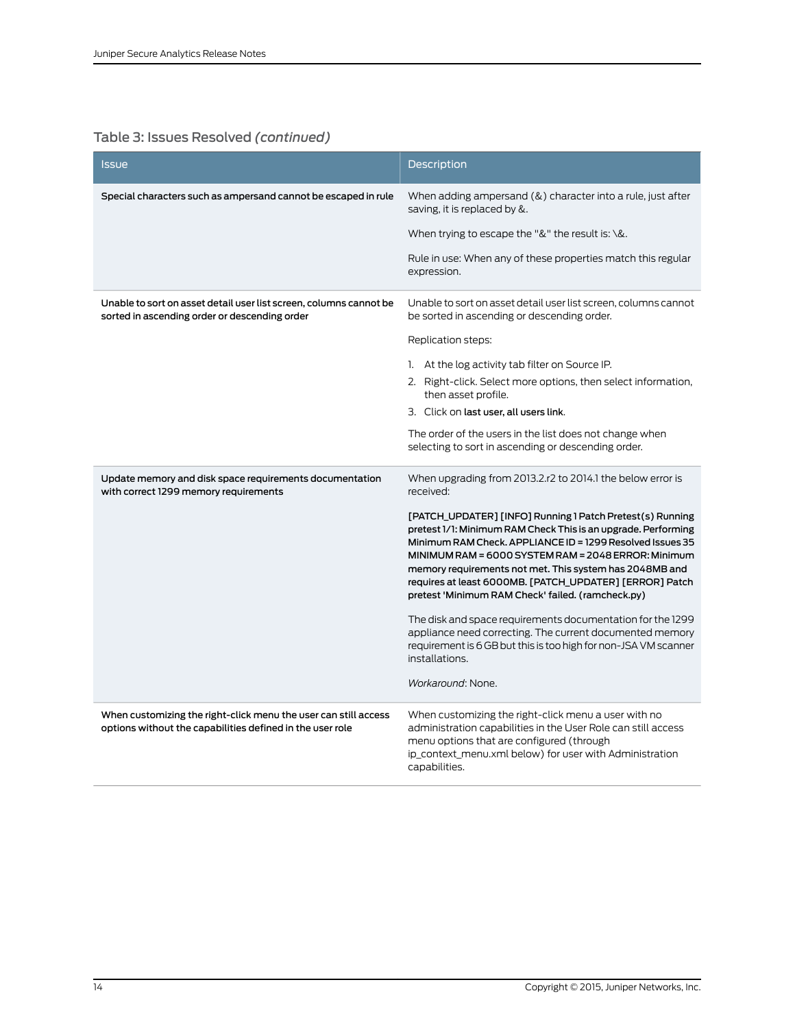| <b>Issue</b>                                                                                                                 | Description                                                                                                                                                                                                                                                                                                                                                                                                               |
|------------------------------------------------------------------------------------------------------------------------------|---------------------------------------------------------------------------------------------------------------------------------------------------------------------------------------------------------------------------------------------------------------------------------------------------------------------------------------------------------------------------------------------------------------------------|
| Special characters such as ampersand cannot be escaped in rule                                                               | When adding ampersand $(\&)$ character into a rule, just after<br>saving, it is replaced by &.                                                                                                                                                                                                                                                                                                                            |
|                                                                                                                              | When trying to escape the "&" the result is: $\&$ .                                                                                                                                                                                                                                                                                                                                                                       |
|                                                                                                                              | Rule in use: When any of these properties match this regular<br>expression.                                                                                                                                                                                                                                                                                                                                               |
| Unable to sort on asset detail user list screen, columns cannot be<br>sorted in ascending order or descending order          | Unable to sort on asset detail user list screen, columns cannot<br>be sorted in ascending or descending order.                                                                                                                                                                                                                                                                                                            |
|                                                                                                                              | Replication steps:                                                                                                                                                                                                                                                                                                                                                                                                        |
|                                                                                                                              | 1. At the log activity tab filter on Source IP.                                                                                                                                                                                                                                                                                                                                                                           |
|                                                                                                                              | 2. Right-click. Select more options, then select information,<br>then asset profile.                                                                                                                                                                                                                                                                                                                                      |
|                                                                                                                              | 3. Click on last user, all users link.                                                                                                                                                                                                                                                                                                                                                                                    |
|                                                                                                                              | The order of the users in the list does not change when<br>selecting to sort in ascending or descending order.                                                                                                                                                                                                                                                                                                            |
| Update memory and disk space requirements documentation<br>with correct 1299 memory requirements                             | When upgrading from 2013.2.r2 to 2014.1 the below error is<br>received:                                                                                                                                                                                                                                                                                                                                                   |
|                                                                                                                              | [PATCH_UPDATER] [INFO] Running 1 Patch Pretest(s) Running<br>pretest 1/1: Minimum RAM Check This is an upgrade. Performing<br>Minimum RAM Check. APPLIANCE ID = 1299 Resolved Issues 35<br>MINIMUM RAM = 6000 SYSTEM RAM = 2048 ERROR: Minimum<br>memory requirements not met. This system has 2048MB and<br>requires at least 6000MB. [PATCH_UPDATER] [ERROR] Patch<br>pretest 'Minimum RAM Check' failed. (ramcheck.py) |
|                                                                                                                              | The disk and space requirements documentation for the 1299<br>appliance need correcting. The current documented memory<br>requirement is 6 GB but this is too high for non-JSA VM scanner<br>installations.                                                                                                                                                                                                               |
|                                                                                                                              | Workaround: None.                                                                                                                                                                                                                                                                                                                                                                                                         |
| When customizing the right-click menu the user can still access<br>options without the capabilities defined in the user role | When customizing the right-click menu a user with no<br>administration capabilities in the User Role can still access<br>menu options that are configured (through<br>ip_context_menu.xml below) for user with Administration<br>capabilities.                                                                                                                                                                            |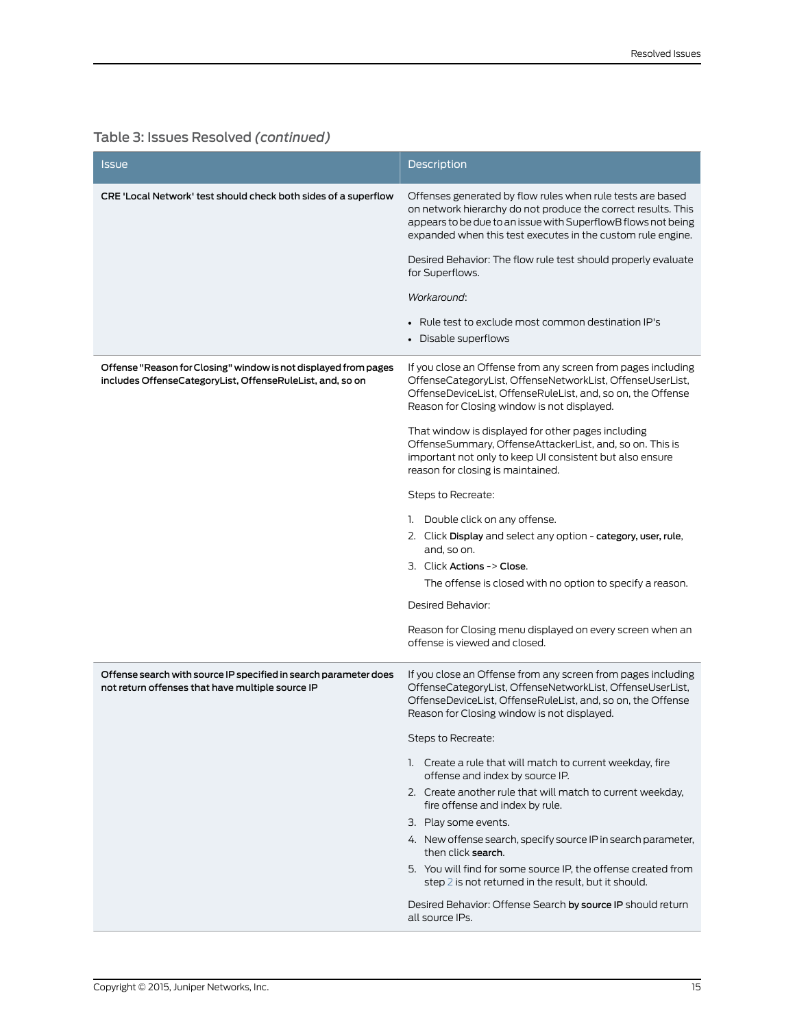<span id="page-14-0"></span>

| <b>Issue</b>                                                                                                                 | Description                                                                                                                                                                                                                                                 |
|------------------------------------------------------------------------------------------------------------------------------|-------------------------------------------------------------------------------------------------------------------------------------------------------------------------------------------------------------------------------------------------------------|
| CRE 'Local Network' test should check both sides of a superflow                                                              | Offenses generated by flow rules when rule tests are based<br>on network hierarchy do not produce the correct results. This<br>appears to be due to an issue with SuperflowB flows not being<br>expanded when this test executes in the custom rule engine. |
|                                                                                                                              | Desired Behavior: The flow rule test should properly evaluate<br>for Superflows.                                                                                                                                                                            |
|                                                                                                                              | Workaround:                                                                                                                                                                                                                                                 |
|                                                                                                                              | • Rule test to exclude most common destination IP's<br>• Disable superflows                                                                                                                                                                                 |
| Offense "Reason for Closing" window is not displayed from pages<br>includes OffenseCategoryList, OffenseRuleList, and, so on | If you close an Offense from any screen from pages including<br>OffenseCategoryList, OffenseNetworkList, OffenseUserList,<br>OffenseDeviceList, OffenseRuleList, and, so on, the Offense<br>Reason for Closing window is not displayed.                     |
|                                                                                                                              | That window is displayed for other pages including<br>OffenseSummary, OffenseAttackerList, and, so on. This is<br>important not only to keep UI consistent but also ensure<br>reason for closing is maintained.                                             |
|                                                                                                                              | Steps to Recreate:                                                                                                                                                                                                                                          |
|                                                                                                                              | 1. Double click on any offense.                                                                                                                                                                                                                             |
|                                                                                                                              | 2. Click Display and select any option - category, user, rule,<br>and, so on.                                                                                                                                                                               |
|                                                                                                                              | 3. Click Actions -> Close.                                                                                                                                                                                                                                  |
|                                                                                                                              | The offense is closed with no option to specify a reason.                                                                                                                                                                                                   |
|                                                                                                                              | Desired Behavior:                                                                                                                                                                                                                                           |
|                                                                                                                              | Reason for Closing menu displayed on every screen when an<br>offense is viewed and closed.                                                                                                                                                                  |
| Offense search with source IP specified in search parameter does<br>not return offenses that have multiple source IP         | If you close an Offense from any screen from pages including<br>OffenseCategoryList, OffenseNetworkList, OffenseUserList,<br>OffenseDeviceList, OffenseRuleList, and, so on, the Offense<br>Reason for Closing window is not displayed.                     |
|                                                                                                                              | Steps to Recreate:                                                                                                                                                                                                                                          |
|                                                                                                                              | 1. Create a rule that will match to current weekday, fire<br>offense and index by source IP.                                                                                                                                                                |
|                                                                                                                              | 2. Create another rule that will match to current weekday,<br>fire offense and index by rule.                                                                                                                                                               |
|                                                                                                                              | 3. Play some events.                                                                                                                                                                                                                                        |
|                                                                                                                              | 4. New offense search, specify source IP in search parameter,<br>then click search.                                                                                                                                                                         |
|                                                                                                                              | 5. You will find for some source IP, the offense created from<br>step 2 is not returned in the result, but it should.                                                                                                                                       |
|                                                                                                                              | Desired Behavior: Offense Search by source IP should return<br>all source IPs.                                                                                                                                                                              |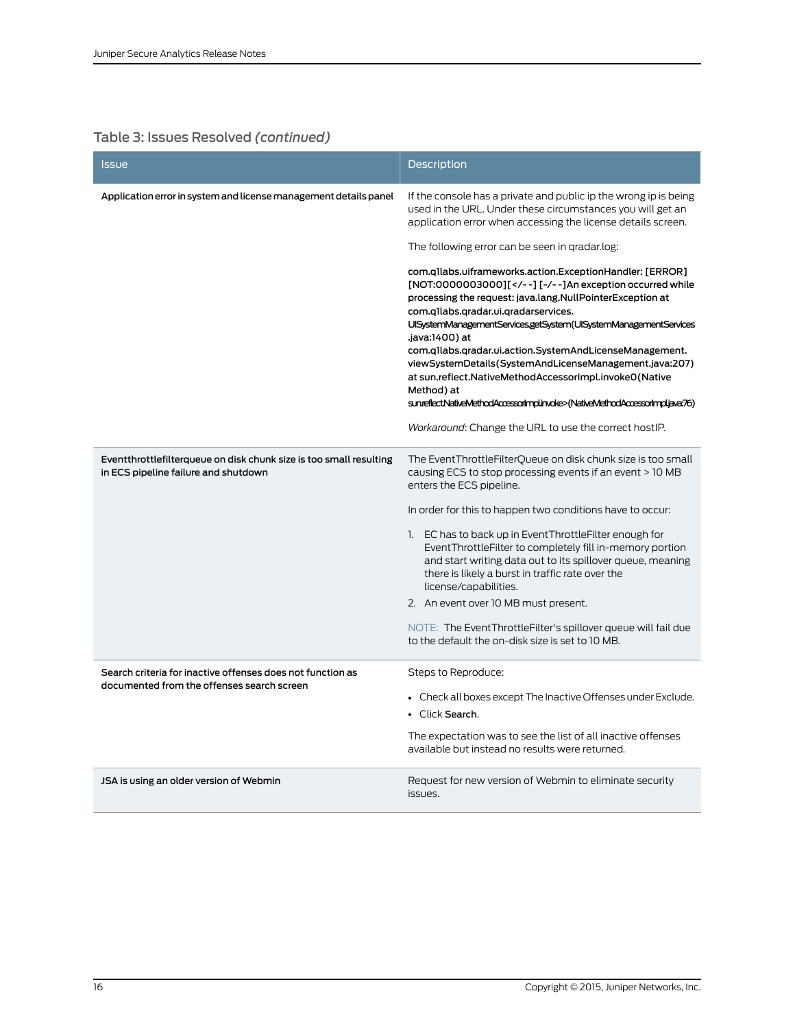| <b>Issue</b>                                                                                               | <b>Description</b>                                                                                                                                                                                                                                                                                                                                                                                                                                                                                        |
|------------------------------------------------------------------------------------------------------------|-----------------------------------------------------------------------------------------------------------------------------------------------------------------------------------------------------------------------------------------------------------------------------------------------------------------------------------------------------------------------------------------------------------------------------------------------------------------------------------------------------------|
| Application error in system and license management details panel                                           | If the console has a private and public ip the wrong ip is being<br>used in the URL. Under these circumstances you will get an<br>application error when accessing the license details screen.                                                                                                                                                                                                                                                                                                            |
|                                                                                                            | The following error can be seen in gradar.log:                                                                                                                                                                                                                                                                                                                                                                                                                                                            |
|                                                                                                            | com.q1labs.uiframeworks.action.ExceptionHandler: [ERROR]<br>[NOT:0000003000][ --][-/--]An exception occurred while<br processing the request: java.lang.NullPointerException at<br>com.q1labs.qradar.ui.qradarservices.<br>UISystemManagementServices.getSystem(UISystemManagementServices<br>.java:1400) at<br>com.qllabs.qradar.ui.action.SystemAndLicenseManagement.<br>viewSystemDetails(SystemAndLicenseManagement.java:207)<br>at sun.reflect.NativeMethodAccessorImpl.invoke0(Native<br>Method) at |
|                                                                                                            | sunreflectNativeMethodAccessorImplinvoke>(NativeMethodAccessorImpljava76)                                                                                                                                                                                                                                                                                                                                                                                                                                 |
|                                                                                                            | Workaround: Change the URL to use the correct host IP.                                                                                                                                                                                                                                                                                                                                                                                                                                                    |
| Eventthrottlefilterqueue on disk chunk size is too small resulting<br>in ECS pipeline failure and shutdown | The EventThrottleFilterQueue on disk chunk size is too small<br>causing ECS to stop processing events if an event > 10 MB<br>enters the ECS pipeline.                                                                                                                                                                                                                                                                                                                                                     |
|                                                                                                            | In order for this to happen two conditions have to occur:                                                                                                                                                                                                                                                                                                                                                                                                                                                 |
|                                                                                                            | 1. EC has to back up in EventThrottleFilter enough for<br>EventThrottleFilter to completely fill in-memory portion<br>and start writing data out to its spillover queue, meaning<br>there is likely a burst in traffic rate over the<br>license/capabilities.                                                                                                                                                                                                                                             |
|                                                                                                            | 2. An event over 10 MB must present.                                                                                                                                                                                                                                                                                                                                                                                                                                                                      |
|                                                                                                            | NOTE: The EventThrottleFilter's spillover queue will fail due<br>to the default the on-disk size is set to 10 MB.                                                                                                                                                                                                                                                                                                                                                                                         |
| Search criteria for inactive offenses does not function as<br>documented from the offenses search screen   | Steps to Reproduce:                                                                                                                                                                                                                                                                                                                                                                                                                                                                                       |
|                                                                                                            | • Check all boxes except The Inactive Offenses under Exclude.<br>• Click Search.                                                                                                                                                                                                                                                                                                                                                                                                                          |
|                                                                                                            | The expectation was to see the list of all inactive offenses<br>available but instead no results were returned.                                                                                                                                                                                                                                                                                                                                                                                           |
| JSA is using an older version of Webmin                                                                    | Request for new version of Webmin to eliminate security<br>issues.                                                                                                                                                                                                                                                                                                                                                                                                                                        |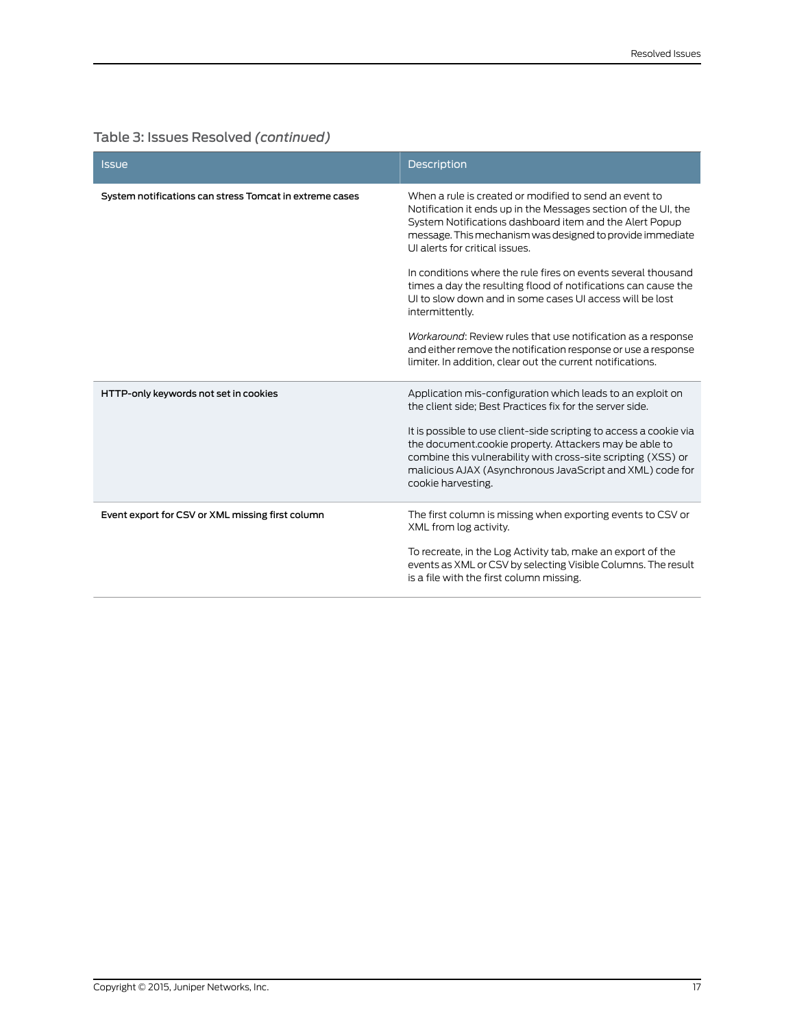| <b>Issue</b>                                            | <b>Description</b>                                                                                                                                                                                                                                                                 |
|---------------------------------------------------------|------------------------------------------------------------------------------------------------------------------------------------------------------------------------------------------------------------------------------------------------------------------------------------|
| System notifications can stress Tomcat in extreme cases | When a rule is created or modified to send an event to<br>Notification it ends up in the Messages section of the UI, the<br>System Notifications dashboard item and the Alert Popup<br>message. This mechanism was designed to provide immediate<br>UI alerts for critical issues. |
|                                                         | In conditions where the rule fires on events several thousand<br>times a day the resulting flood of notifications can cause the<br>UI to slow down and in some cases UI access will be lost<br>intermittently.                                                                     |
|                                                         | Workaround: Review rules that use notification as a response<br>and either remove the notification response or use a response<br>limiter. In addition, clear out the current notifications.                                                                                        |
| HTTP-only keywords not set in cookies                   | Application mis-configuration which leads to an exploit on<br>the client side; Best Practices fix for the server side.                                                                                                                                                             |
|                                                         | It is possible to use client-side scripting to access a cookie via<br>the document.cookie property. Attackers may be able to<br>combine this vulnerability with cross-site scripting (XSS) or<br>malicious AJAX (Asynchronous JavaScript and XML) code for<br>cookie harvesting.   |
| Event export for CSV or XML missing first column        | The first column is missing when exporting events to CSV or<br>XML from log activity.                                                                                                                                                                                              |
|                                                         | To recreate, in the Log Activity tab, make an export of the<br>events as XML or CSV by selecting Visible Columns. The result<br>is a file with the first column missing.                                                                                                           |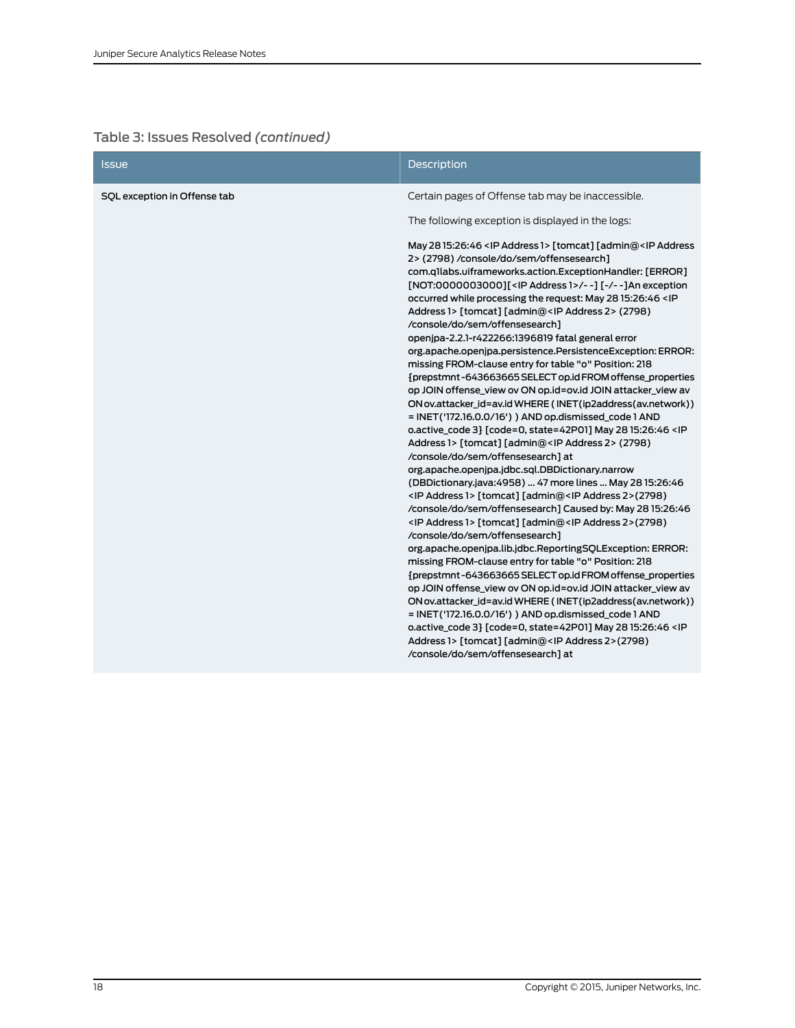| <b>Issue</b>                 | <b>Description</b>                                                                                                                                                                                                                                                                                                                                                                                                                                                                                                                                                                                                                                                                                                                                                                                                                                                                                                                                                                                                                                                                                                                                                                                                                                                                                                                                                                                                                                                                                                                                                                                                                                                                                                                                                                                                                                                                                                                                                                                                                                                                                          |
|------------------------------|-------------------------------------------------------------------------------------------------------------------------------------------------------------------------------------------------------------------------------------------------------------------------------------------------------------------------------------------------------------------------------------------------------------------------------------------------------------------------------------------------------------------------------------------------------------------------------------------------------------------------------------------------------------------------------------------------------------------------------------------------------------------------------------------------------------------------------------------------------------------------------------------------------------------------------------------------------------------------------------------------------------------------------------------------------------------------------------------------------------------------------------------------------------------------------------------------------------------------------------------------------------------------------------------------------------------------------------------------------------------------------------------------------------------------------------------------------------------------------------------------------------------------------------------------------------------------------------------------------------------------------------------------------------------------------------------------------------------------------------------------------------------------------------------------------------------------------------------------------------------------------------------------------------------------------------------------------------------------------------------------------------------------------------------------------------------------------------------------------------|
| SQL exception in Offense tab | Certain pages of Offense tab may be inaccessible.<br>The following exception is displayed in the logs:<br>May 28 15:26:46 < IP Address 1> [tomcat] [admin@ <ip address<br="">2&gt;(2798)/console/do/sem/offensesearch]<br/>com.qllabs.uiframeworks.action.ExceptionHandler: [ERROR]<br/>[NOT:0000003000][<ip 1="" address="">/--] [-/--]An exception<br/>occurred while processing the request: May 28 15:26:46 <ip<br>Address 1&gt; [tomcat] [admin@<ip 2="" address=""> (2798)<br/>/console/do/sem/offensesearch]<br/>openjpa-2.2.1-r422266:1396819 fatal general error<br/>org.apache.openjpa.persistence.PersistenceException:ERROR:<br/>missing FROM-clause entry for table "o" Position: 218<br/>{prepstmnt-643663665 SELECT op.id FROM offense_properties<br/>op JOIN offense view ov ON op.id=ov.id JOIN attacker view av<br/>ON ov.attacker_id=av.id WHERE (INET(ip2address(av.network))<br/>= INET('172.16.0.0/16') ) AND op.dismissed_code 1 AND<br/>o.active_code 3} [code=0, state=42P01] May 28 15:26:46 &lt; IP<br/>Address 1&gt; [tomcat] [admin@<ip 2="" address=""> (2798)<br/>/console/do/sem/offensesearch] at<br/>org.apache.openipa.jdbc.sql.DBDictionary.narrow<br/>(DBDictionary.java:4958)  47 more lines  May 28 15:26:46<br/><ip 1="" address=""> [tomcat] [admin@<ip 2="" address="">(2798)<br/>/console/do/sem/offensesearch] Caused by: May 28 15:26:46<br/><ip 1="" address=""> [tomcat] [admin@<ip 2="" address="">(2798)<br/>/console/do/sem/offensesearch]<br/>org.apache.openjpa.lib.jdbc.ReportingSQLException: ERROR:<br/>missing FROM-clause entry for table "o" Position: 218<br/>{prepstmnt-643663665 SELECT op.id FROM offense_properties<br/>op JOIN offense_view ov ON op.id=ov.id JOIN attacker_view av<br/>ON ov.attacker_id=av.id WHERE (INET(ip2address(av.network))<br/>= INET('172.16.0.0/16') ) AND op.dismissed_code 1 AND<br/>o.active_code 3} [code=0, state=42P01] May 28 15:26:46 <ip<br>Address 1&gt; [tomcat] [admin@<ip 2="" address="">(2798)<br/>/console/do/sem/offensesearch] at</ip></ip<br></ip></ip></ip></ip></ip></ip></ip<br></ip></ip> |
|                              |                                                                                                                                                                                                                                                                                                                                                                                                                                                                                                                                                                                                                                                                                                                                                                                                                                                                                                                                                                                                                                                                                                                                                                                                                                                                                                                                                                                                                                                                                                                                                                                                                                                                                                                                                                                                                                                                                                                                                                                                                                                                                                             |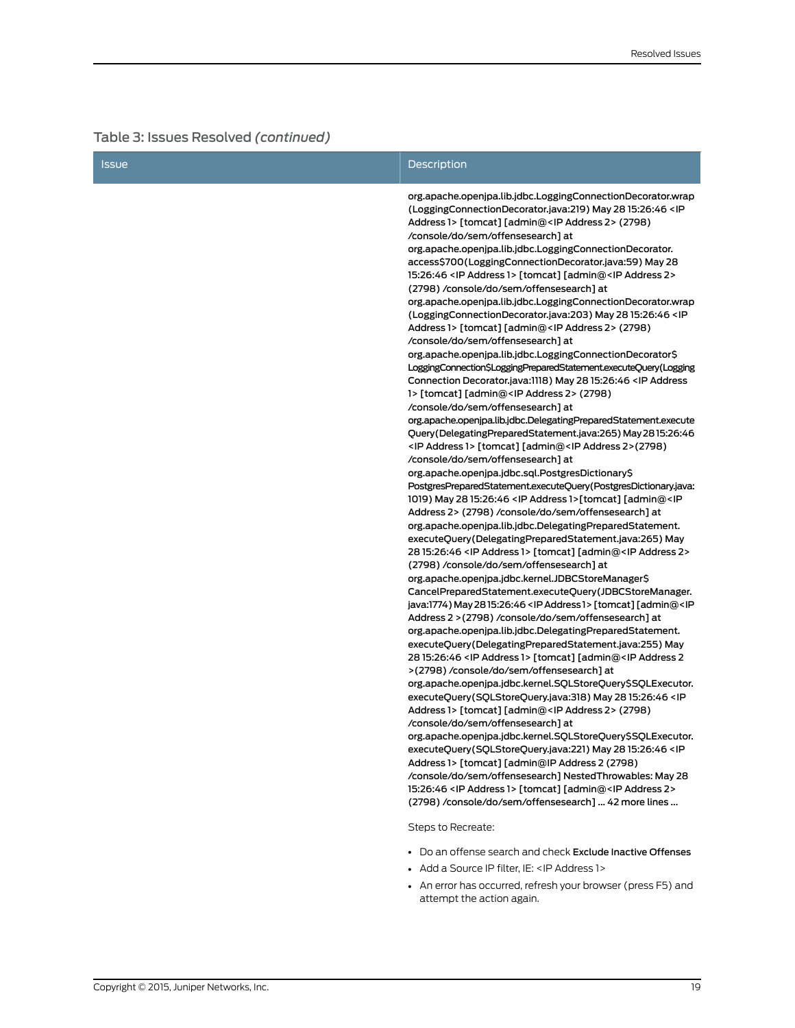| <b>Issue</b> | Description                                                                                                                                                                                                                                                                                                                                                                                                                                                                                                                                                                                                                                                                                                                                                                                                                                                                                                                                                                                                                                                                                                                                                                                                                                                                                                                                                                                                                                                                                                                                                                                                                                                                                                                                                                                                                                                                                                                                                                                                                                                                                                                                                                                                                                                                                                                                                                                                                                                                              |
|--------------|------------------------------------------------------------------------------------------------------------------------------------------------------------------------------------------------------------------------------------------------------------------------------------------------------------------------------------------------------------------------------------------------------------------------------------------------------------------------------------------------------------------------------------------------------------------------------------------------------------------------------------------------------------------------------------------------------------------------------------------------------------------------------------------------------------------------------------------------------------------------------------------------------------------------------------------------------------------------------------------------------------------------------------------------------------------------------------------------------------------------------------------------------------------------------------------------------------------------------------------------------------------------------------------------------------------------------------------------------------------------------------------------------------------------------------------------------------------------------------------------------------------------------------------------------------------------------------------------------------------------------------------------------------------------------------------------------------------------------------------------------------------------------------------------------------------------------------------------------------------------------------------------------------------------------------------------------------------------------------------------------------------------------------------------------------------------------------------------------------------------------------------------------------------------------------------------------------------------------------------------------------------------------------------------------------------------------------------------------------------------------------------------------------------------------------------------------------------------------------------|
|              | org.apache.openjpa.lib.jdbc.LoggingConnectionDecorator.wrap<br>(LoggingConnectionDecorator.java:219) May 28 15:26:46 <ip<br>Address 1&gt; [tomcat] [admin@<ip 2="" address=""> (2798)<br/>/console/do/sem/offensesearch] at<br/>org.apache.openjpa.lib.jdbc.LoggingConnectionDecorator.<br/>access\$700(LoggingConnectionDecorator.java:59) May 28<br/>15:26:46 &lt; IP Address 1&gt; [tomcat] [admin@<ip 2="" address=""><br/>(2798) /console/do/sem/offensesearch] at<br/>org.apache.openjpa.lib.jdbc.LoggingConnectionDecorator.wrap<br/>(LoggingConnectionDecorator.java:203) May 28 15:26:46 <ip<br>Address 1&gt; [tomcat] [admin@<ip 2="" address=""> (2798)<br/>/console/do/sem/offensesearch] at<br/>org.apache.openjpa.lib.jdbc.LoggingConnectionDecorator\$<br/>LoggingConnection\$LoggingPreparedStatement.executeQuery(Logging<br/>Connection Decorator.java:1118) May 28 15:26:46 <ip address<br="">1&gt; [tomcat] [admin@<ip 2="" address=""> (2798)<br/>/console/do/sem/offensesearch] at<br/>org.apache.openjpa.lib.jdbc.DelegatingPreparedStatement.execute<br/>Query(DelegatingPreparedStatement.java:265) May 2815:26:46<br/><ip 1="" address=""> [tomcat] [admin@<ip 2="" address="">(2798)<br/>/console/do/sem/offensesearch] at<br/>org.apache.openjpa.jdbc.sql.PostgresDictionary\$<br/>PostgresPreparedStatement.executeQuery(PostgresDictionary.java:<br/>1019) May 28 15:26:46 &lt; IP Address 1&gt;[tomcat] [admin@<ip<br>Address 2&gt; (2798) /console/do/sem/offensesearch] at<br/>org.apache.openjpa.lib.jdbc.DelegatingPreparedStatement.<br/>executeQuery(DelegatingPreparedStatement.java:265) May<br/>28 15:26:46 &lt; IP Address 1&gt; [tomcat] [admin@<ip 2="" address=""><br/>(2798) /console/do/sem/offensesearch] at<br/>org.apache.openjpa.jdbc.kernel.JDBCStoreManager\$<br/>CancelPreparedStatement.executeQuery(JDBCStoreManager.<br/>java:1774) May 2815:26:46 &lt; IP Address 1&gt; [tomcat] [admin@<ip<br>Address 2 &gt; (2798) /console/do/sem/offensesearch] at<br/>org.apache.openjpa.lib.jdbc.DelegatingPreparedStatement.<br/>executeQuery(DelegatingPreparedStatement.java:255) May<br/>28 15:26:46 &lt; IP Address 1&gt; [tomcat] [admin@<ip 2<br="" address="">&gt;(2798) /console/do/sem/offensesearch] at<br/>org.apache.openjpa.jdbc.kernel.SQLStoreQuery\$SQLExecutor.<br/>executeQuery(SQLStoreQuery.java:318) May 28 15:26:46 <ip< th=""></ip<></ip></ip<br></ip></ip<br></ip></ip></ip></ip></ip></ip<br></ip></ip></ip<br> |
|              | Address 1> [tomcat] [admin@ <ip 2="" address=""> (2798)<br/>/console/do/sem/offensesearch] at</ip>                                                                                                                                                                                                                                                                                                                                                                                                                                                                                                                                                                                                                                                                                                                                                                                                                                                                                                                                                                                                                                                                                                                                                                                                                                                                                                                                                                                                                                                                                                                                                                                                                                                                                                                                                                                                                                                                                                                                                                                                                                                                                                                                                                                                                                                                                                                                                                                       |
|              | org.apache.openjpa.jdbc.kernel.SQLStoreQuery\$SQLExecutor.<br>executeQuery(SQLStoreQuery.java:221) May 28 15:26:46 <ip<br>Address 1&gt; [tomcat] [admin@IP Address 2 (2798)</ip<br>                                                                                                                                                                                                                                                                                                                                                                                                                                                                                                                                                                                                                                                                                                                                                                                                                                                                                                                                                                                                                                                                                                                                                                                                                                                                                                                                                                                                                                                                                                                                                                                                                                                                                                                                                                                                                                                                                                                                                                                                                                                                                                                                                                                                                                                                                                      |
|              | /console/do/sem/offensesearch] NestedThrowables: May 28<br>15:26:46 < IP Address 1> [tomcat] [admin@ <ip 2="" address=""><br/>(2798) /console/do/sem/offensesearch]  42 more lines </ip>                                                                                                                                                                                                                                                                                                                                                                                                                                                                                                                                                                                                                                                                                                                                                                                                                                                                                                                                                                                                                                                                                                                                                                                                                                                                                                                                                                                                                                                                                                                                                                                                                                                                                                                                                                                                                                                                                                                                                                                                                                                                                                                                                                                                                                                                                                 |
|              | Steps to Recreate:                                                                                                                                                                                                                                                                                                                                                                                                                                                                                                                                                                                                                                                                                                                                                                                                                                                                                                                                                                                                                                                                                                                                                                                                                                                                                                                                                                                                                                                                                                                                                                                                                                                                                                                                                                                                                                                                                                                                                                                                                                                                                                                                                                                                                                                                                                                                                                                                                                                                       |

- Do an offense search and check Exclude Inactive Offenses
- Add a Source IP filter, IE: <IP Address 1>
- An error has occurred, refresh your browser (press F5) and attempt the action again.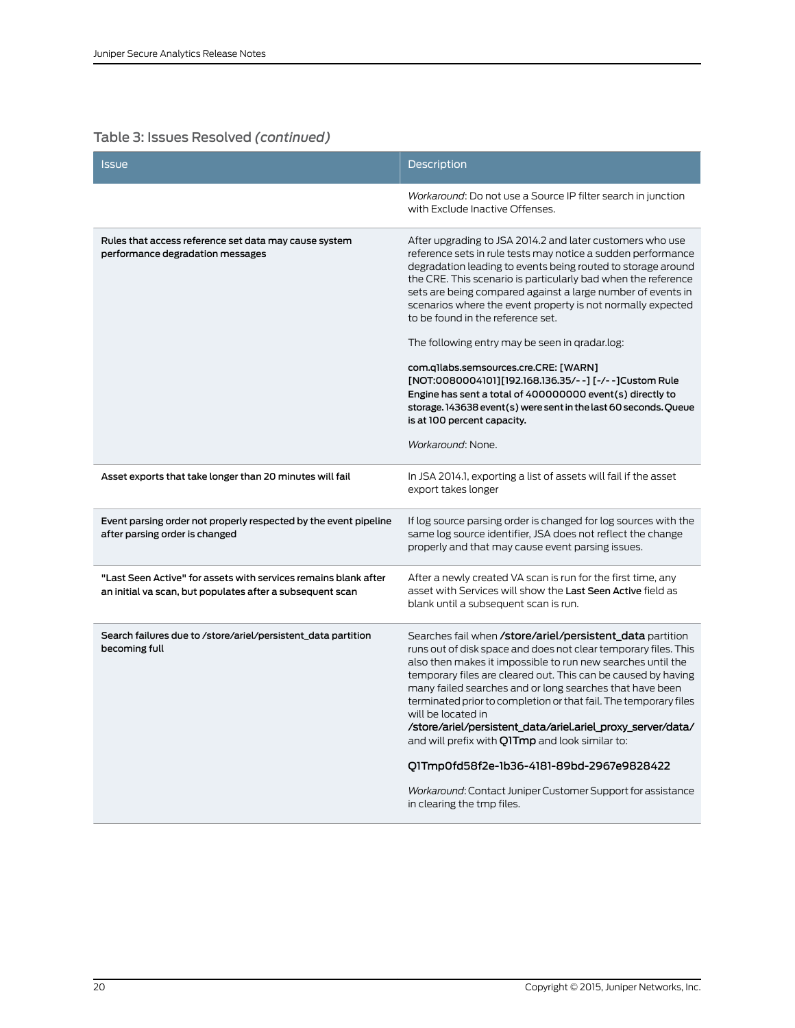| <b>Issue</b>                                                                                                                 | <b>Description</b>                                                                                                                                                                                                                                                                                                                                                                                                                                                                                                                                                                                                                                                                                                                                                     |
|------------------------------------------------------------------------------------------------------------------------------|------------------------------------------------------------------------------------------------------------------------------------------------------------------------------------------------------------------------------------------------------------------------------------------------------------------------------------------------------------------------------------------------------------------------------------------------------------------------------------------------------------------------------------------------------------------------------------------------------------------------------------------------------------------------------------------------------------------------------------------------------------------------|
|                                                                                                                              | Workaround: Do not use a Source IP filter search in junction<br>with Exclude Inactive Offenses.                                                                                                                                                                                                                                                                                                                                                                                                                                                                                                                                                                                                                                                                        |
| Rules that access reference set data may cause system<br>performance degradation messages                                    | After upgrading to JSA 2014.2 and later customers who use<br>reference sets in rule tests may notice a sudden performance<br>degradation leading to events being routed to storage around<br>the CRE. This scenario is particularly bad when the reference<br>sets are being compared against a large number of events in<br>scenarios where the event property is not normally expected<br>to be found in the reference set.<br>The following entry may be seen in gradar.log:<br>com.q1labs.semsources.cre.CRE: [WARN]<br>[NOT:0080004101][192.168.136.35/--] [-/--]Custom Rule<br>Engine has sent a total of 400000000 event(s) directly to<br>storage. 143638 event(s) were sent in the last 60 seconds. Queue<br>is at 100 percent capacity.<br>Workaround: None. |
| Asset exports that take longer than 20 minutes will fail                                                                     | In JSA 2014.1, exporting a list of assets will fail if the asset<br>export takes longer                                                                                                                                                                                                                                                                                                                                                                                                                                                                                                                                                                                                                                                                                |
| Event parsing order not properly respected by the event pipeline<br>after parsing order is changed                           | If log source parsing order is changed for log sources with the<br>same log source identifier, JSA does not reflect the change<br>properly and that may cause event parsing issues.                                                                                                                                                                                                                                                                                                                                                                                                                                                                                                                                                                                    |
| "Last Seen Active" for assets with services remains blank after<br>an initial va scan, but populates after a subsequent scan | After a newly created VA scan is run for the first time, any<br>asset with Services will show the Last Seen Active field as<br>blank until a subsequent scan is run.                                                                                                                                                                                                                                                                                                                                                                                                                                                                                                                                                                                                   |
| Search failures due to /store/ariel/persistent_data partition<br>becoming full                                               | Searches fail when <b>/store/ariel/persistent_data</b> partition<br>runs out of disk space and does not clear temporary files. This<br>also then makes it impossible to run new searches until the<br>temporary files are cleared out. This can be caused by having<br>many failed searches and or long searches that have been<br>terminated prior to completion or that fail. The temporary files<br>will be located in<br>/store/ariel/persistent_data/ariel.ariel_proxy_server/data/<br>and will prefix with <b>Q1Tmp</b> and look similar to:<br>Q1Tmp0fd58f2e-1b36-4181-89bd-2967e9828422<br>Workaround: Contact Juniper Customer Support for assistance<br>in clearing the tmp files.                                                                           |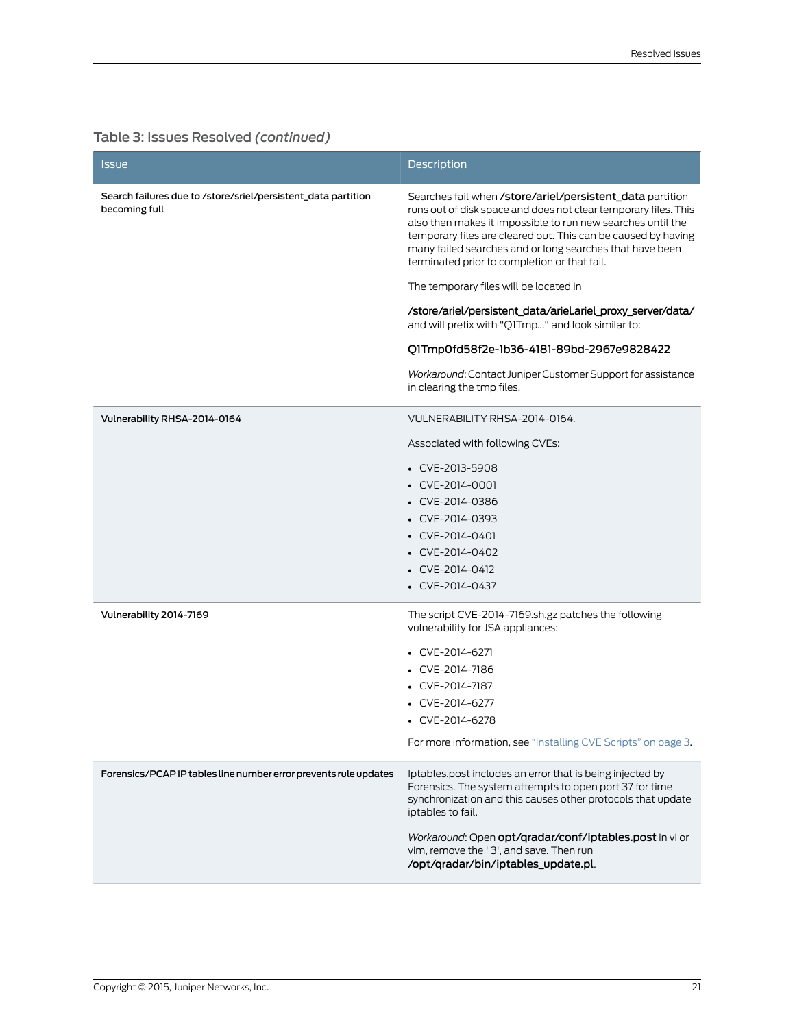| lssue                                                                          | Description                                                                                                                                                                                                                                                                                                                                                              |
|--------------------------------------------------------------------------------|--------------------------------------------------------------------------------------------------------------------------------------------------------------------------------------------------------------------------------------------------------------------------------------------------------------------------------------------------------------------------|
| Search failures due to /store/sriel/persistent_data partition<br>becoming full | Searches fail when /store/ariel/persistent_data partition<br>runs out of disk space and does not clear temporary files. This<br>also then makes it impossible to run new searches until the<br>temporary files are cleared out. This can be caused by having<br>many failed searches and or long searches that have been<br>terminated prior to completion or that fail. |
|                                                                                | The temporary files will be located in                                                                                                                                                                                                                                                                                                                                   |
|                                                                                | /store/ariel/persistent_data/ariel.ariel_proxy_server/data/<br>and will prefix with "Q1Tmp" and look similar to:                                                                                                                                                                                                                                                         |
|                                                                                | Q1Tmp0fd58f2e-1b36-4181-89bd-2967e9828422                                                                                                                                                                                                                                                                                                                                |
|                                                                                | Workaround: Contact Juniper Customer Support for assistance<br>in clearing the tmp files.                                                                                                                                                                                                                                                                                |
| Vulnerability RHSA-2014-0164                                                   | VULNERABILITY RHSA-2014-0164.                                                                                                                                                                                                                                                                                                                                            |
|                                                                                | Associated with following CVEs:                                                                                                                                                                                                                                                                                                                                          |
|                                                                                | $\cdot$ CVE-2013-5908                                                                                                                                                                                                                                                                                                                                                    |
|                                                                                | • CVE-2014-0001                                                                                                                                                                                                                                                                                                                                                          |
|                                                                                | • CVE-2014-0386                                                                                                                                                                                                                                                                                                                                                          |
|                                                                                | • CVE-2014-0393                                                                                                                                                                                                                                                                                                                                                          |
|                                                                                | • CVE-2014-0401                                                                                                                                                                                                                                                                                                                                                          |
|                                                                                | • CVE-2014-0402                                                                                                                                                                                                                                                                                                                                                          |
|                                                                                | $\cdot$ CVE-2014-0412                                                                                                                                                                                                                                                                                                                                                    |
|                                                                                | • CVE-2014-0437                                                                                                                                                                                                                                                                                                                                                          |
| Vulnerability 2014-7169                                                        | The script CVE-2014-7169.sh.gz patches the following<br>vulnerability for JSA appliances:                                                                                                                                                                                                                                                                                |
|                                                                                | $\cdot$ CVE-2014-6271                                                                                                                                                                                                                                                                                                                                                    |
|                                                                                | • CVE-2014-7186                                                                                                                                                                                                                                                                                                                                                          |
|                                                                                | • CVE-2014-7187                                                                                                                                                                                                                                                                                                                                                          |
|                                                                                | CVE-2014-6277                                                                                                                                                                                                                                                                                                                                                            |
|                                                                                | • CVE-2014-6278                                                                                                                                                                                                                                                                                                                                                          |
|                                                                                | For more information, see "Installing CVE Scripts" on page 3.                                                                                                                                                                                                                                                                                                            |
| Forensics/PCAP IP tables line number error prevents rule updates               | Iptables.post includes an error that is being injected by<br>Forensics. The system attempts to open port 37 for time<br>synchronization and this causes other protocols that update<br>iptables to fail.                                                                                                                                                                 |
|                                                                                | Workaround: Open opt/gradar/conf/iptables.post in vi or<br>vim, remove the '3', and save. Then run<br>/opt/qradar/bin/iptables_update.pl.                                                                                                                                                                                                                                |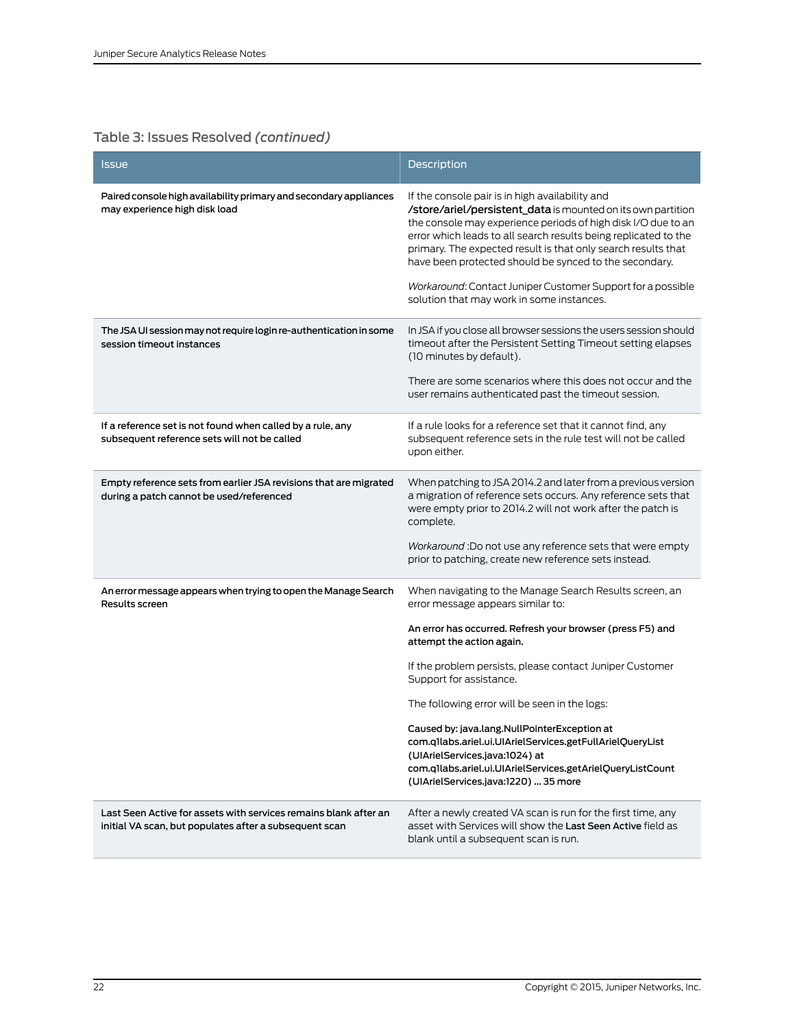| <b>Issue</b>                                                                                                               | Description                                                                                                                                                                                                                                                                                                                                                                                                                                                                                |
|----------------------------------------------------------------------------------------------------------------------------|--------------------------------------------------------------------------------------------------------------------------------------------------------------------------------------------------------------------------------------------------------------------------------------------------------------------------------------------------------------------------------------------------------------------------------------------------------------------------------------------|
| Paired console high availability primary and secondary appliances<br>may experience high disk load                         | If the console pair is in high availability and<br>/store/ariel/persistent_data is mounted on its own partition<br>the console may experience periods of high disk I/O due to an<br>error which leads to all search results being replicated to the<br>primary. The expected result is that only search results that<br>have been protected should be synced to the secondary.<br>Workaround: Contact Juniper Customer Support for a possible<br>solution that may work in some instances. |
| The JSA UI session may not require login re-authentication in some<br>session timeout instances                            | In JSA if you close all browser sessions the users session should<br>timeout after the Persistent Setting Timeout setting elapses<br>(10 minutes by default).<br>There are some scenarios where this does not occur and the<br>user remains authenticated past the timeout session.                                                                                                                                                                                                        |
| If a reference set is not found when called by a rule, any<br>subsequent reference sets will not be called                 | If a rule looks for a reference set that it cannot find, any<br>subsequent reference sets in the rule test will not be called<br>upon either.                                                                                                                                                                                                                                                                                                                                              |
| Empty reference sets from earlier JSA revisions that are migrated<br>during a patch cannot be used/referenced              | When patching to JSA 2014.2 and later from a previous version<br>a migration of reference sets occurs. Any reference sets that<br>were empty prior to 2014.2 will not work after the patch is<br>complete.<br>Workaround: Do not use any reference sets that were empty<br>prior to patching, create new reference sets instead.                                                                                                                                                           |
| An error message appears when trying to open the Manage Search<br>Results screen                                           | When navigating to the Manage Search Results screen, an<br>error message appears similar to:<br>An error has occurred. Refresh your browser (press F5) and<br>attempt the action again.<br>If the problem persists, please contact Juniper Customer<br>Support for assistance.<br>The following error will be seen in the logs:<br>Caused by: java.lang.NullPointerException at<br>com.q1labs.ariel.ui.UIArielServices.getFullArielQueryList<br>(UIArielServices.java:1024) at             |
|                                                                                                                            | com.q1labs.ariel.ui.UIArielServices.getArielQueryListCount<br>(UIArielServices.java:1220)  35 more                                                                                                                                                                                                                                                                                                                                                                                         |
| Last Seen Active for assets with services remains blank after an<br>initial VA scan, but populates after a subsequent scan | After a newly created VA scan is run for the first time, any<br>asset with Services will show the Last Seen Active field as<br>blank until a subsequent scan is run.                                                                                                                                                                                                                                                                                                                       |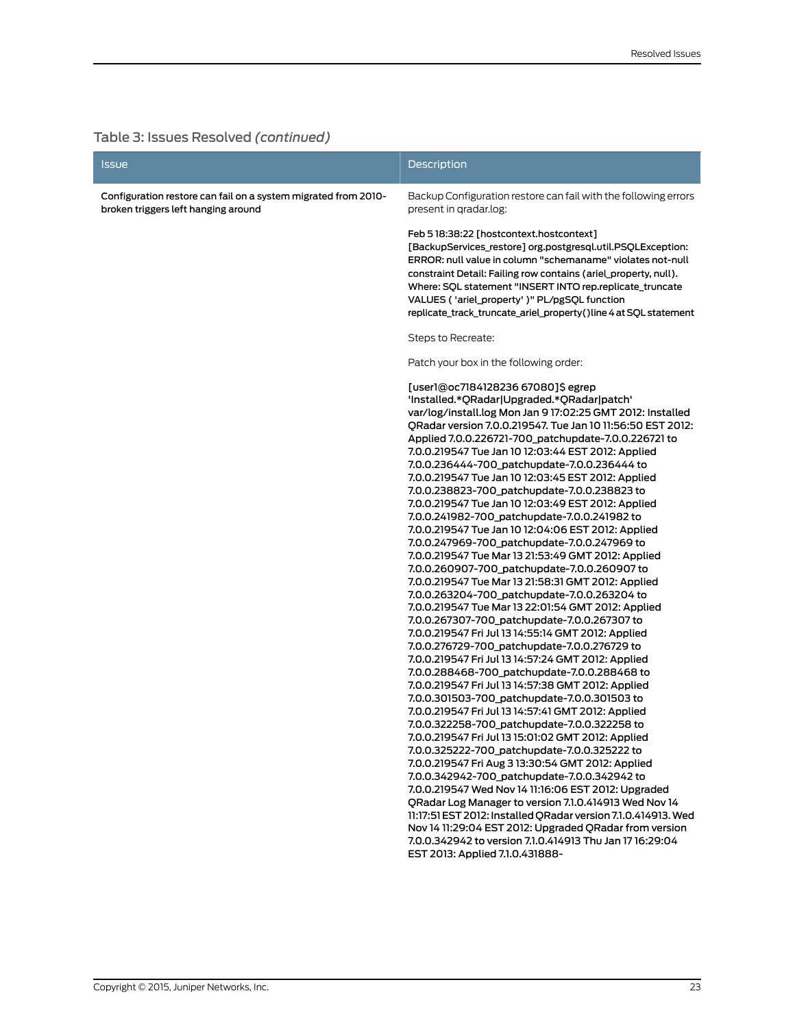| Issue                                                                                                 | <b>Description</b>                                                                                                                                                                                                                                                                                                                                                                                                                                                                                                                                                                                                                                                                                                                                                                                                                                                                                                                                                                                                                                                                                                                                                                                                                                                                                                                                                                                                                                                                          |
|-------------------------------------------------------------------------------------------------------|---------------------------------------------------------------------------------------------------------------------------------------------------------------------------------------------------------------------------------------------------------------------------------------------------------------------------------------------------------------------------------------------------------------------------------------------------------------------------------------------------------------------------------------------------------------------------------------------------------------------------------------------------------------------------------------------------------------------------------------------------------------------------------------------------------------------------------------------------------------------------------------------------------------------------------------------------------------------------------------------------------------------------------------------------------------------------------------------------------------------------------------------------------------------------------------------------------------------------------------------------------------------------------------------------------------------------------------------------------------------------------------------------------------------------------------------------------------------------------------------|
| Configuration restore can fail on a system migrated from 2010-<br>broken triggers left hanging around | Backup Configuration restore can fail with the following errors<br>present in gradar.log:                                                                                                                                                                                                                                                                                                                                                                                                                                                                                                                                                                                                                                                                                                                                                                                                                                                                                                                                                                                                                                                                                                                                                                                                                                                                                                                                                                                                   |
|                                                                                                       | Feb 518:38:22 [hostcontext.hostcontext]<br>[BackupServices_restore] org.postgresql.util.PSQLException:<br>ERROR: null value in column "schemaname" violates not-null<br>constraint Detail: Failing row contains (ariel_property, null).<br>Where: SQL statement "INSERT INTO rep.replicate_truncate<br>VALUES ( 'ariel_property' )" PL/pgSQL function<br>replicate_track_truncate_ariel_property()line 4 at SQL statement                                                                                                                                                                                                                                                                                                                                                                                                                                                                                                                                                                                                                                                                                                                                                                                                                                                                                                                                                                                                                                                                   |
|                                                                                                       | Steps to Recreate:                                                                                                                                                                                                                                                                                                                                                                                                                                                                                                                                                                                                                                                                                                                                                                                                                                                                                                                                                                                                                                                                                                                                                                                                                                                                                                                                                                                                                                                                          |
|                                                                                                       | Patch your box in the following order:                                                                                                                                                                                                                                                                                                                                                                                                                                                                                                                                                                                                                                                                                                                                                                                                                                                                                                                                                                                                                                                                                                                                                                                                                                                                                                                                                                                                                                                      |
|                                                                                                       | [user1@oc7184128236 67080]\$egrep<br>'Installed.*QRadar Upgraded.*QRadar patch'<br>var/log/install.log Mon Jan 9 17:02:25 GMT 2012: Installed<br>QRadar version 7.0.0.219547. Tue Jan 10 11:56:50 EST 2012:<br>Applied 7.0.0.226721-700_patchupdate-7.0.0.226721 to<br>7.0.0.219547 Tue Jan 10 12:03:44 EST 2012: Applied<br>7.0.0.236444-700 patchupdate-7.0.0.236444 to<br>7.0.0.219547 Tue Jan 10 12:03:45 EST 2012: Applied<br>7.0.0.238823-700_patchupdate-7.0.0.238823 to<br>7.0.0.219547 Tue Jan 10 12:03:49 EST 2012: Applied<br>7.0.0.241982-700_patchupdate-7.0.0.241982 to<br>7.0.0.219547 Tue Jan 10 12:04:06 EST 2012: Applied<br>7.0.0.247969-700_patchupdate-7.0.0.247969 to<br>7.0.0.219547 Tue Mar 13 21:53:49 GMT 2012: Applied<br>7.0.0.260907-700_patchupdate-7.0.0.260907 to<br>7.0.0.219547 Tue Mar 13 21:58:31 GMT 2012: Applied<br>7.0.0.263204-700_patchupdate-7.0.0.263204 to<br>7.0.0.219547 Tue Mar 13 22:01:54 GMT 2012: Applied<br>7.0.0.267307-700_patchupdate-7.0.0.267307 to<br>7.0.0.219547 Fri Jul 13 14:55:14 GMT 2012: Applied<br>7.0.0.276729-700_patchupdate-7.0.0.276729 to<br>7.0.0.219547 Fri Jul 13 14:57:24 GMT 2012: Applied<br>7.0.0.288468-700_patchupdate-7.0.0.288468 to<br>7.0.0.219547 Fri Jul 13 14:57:38 GMT 2012: Applied<br>7.0.0.301503-700_patchupdate-7.0.0.301503 to<br>7.0.0.219547 Fri Jul 13 14:57:41 GMT 2012: Applied<br>7.0.0.322258-700_patchupdate-7.0.0.322258 to<br>7.0.0.219547 Fri Jul 13 15:01:02 GMT 2012: Applied |
|                                                                                                       | 7.0.0.325222-700_patchupdate-7.0.0.325222 to<br>7.0.0.219547 Fri Aug 3 13:30:54 GMT 2012: Applied<br>7.0.0.342942-700_patchupdate-7.0.0.342942 to                                                                                                                                                                                                                                                                                                                                                                                                                                                                                                                                                                                                                                                                                                                                                                                                                                                                                                                                                                                                                                                                                                                                                                                                                                                                                                                                           |
|                                                                                                       | 7.0.0.219547 Wed Nov 14 11:16:06 EST 2012: Upgraded<br>ORadar Log Manager to version 7.1.0.414913 Wed Nov 14<br>11:17:51 EST 2012: Installed QRadar version 7.1.0.414913. Wed<br>Nov 14 11:29:04 EST 2012: Upgraded QRadar from version<br>7.0.0.342942 to version 7.1.0.414913 Thu Jan 17 16:29:04<br>EST 2013: Applied 7.1.0.431888-                                                                                                                                                                                                                                                                                                                                                                                                                                                                                                                                                                                                                                                                                                                                                                                                                                                                                                                                                                                                                                                                                                                                                      |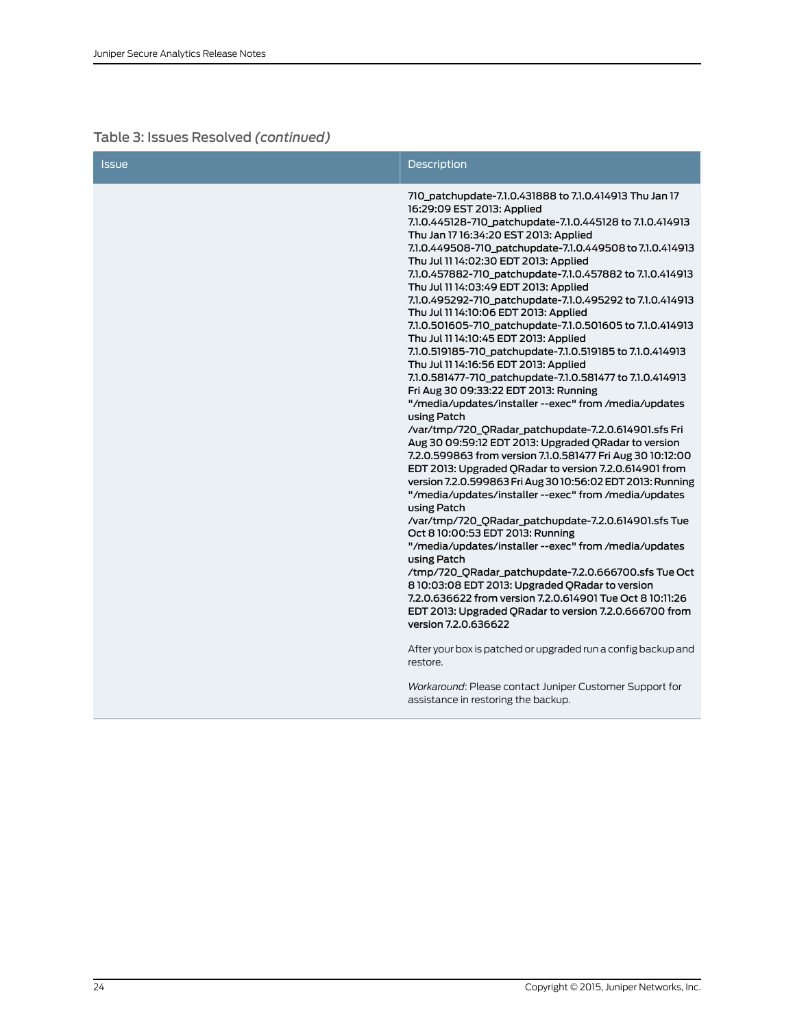| <b>Issue</b> | <b>Description</b>                                                                                                                                                                                                                                                                                                                                                                                                                                                                                                                                                                                                                                                                                                                                                                                                                                                                                                                                                                                                                                                                                                                                                                                                                                                                                                                                                                                                                                                                                                                                                                                                                                                                       |
|--------------|------------------------------------------------------------------------------------------------------------------------------------------------------------------------------------------------------------------------------------------------------------------------------------------------------------------------------------------------------------------------------------------------------------------------------------------------------------------------------------------------------------------------------------------------------------------------------------------------------------------------------------------------------------------------------------------------------------------------------------------------------------------------------------------------------------------------------------------------------------------------------------------------------------------------------------------------------------------------------------------------------------------------------------------------------------------------------------------------------------------------------------------------------------------------------------------------------------------------------------------------------------------------------------------------------------------------------------------------------------------------------------------------------------------------------------------------------------------------------------------------------------------------------------------------------------------------------------------------------------------------------------------------------------------------------------------|
|              | 710_patchupdate-7.1.0.431888 to 7.1.0.414913 Thu Jan 17<br>16:29:09 EST 2013: Applied<br>7.1.0.445128-710 patchupdate-7.1.0.445128 to 7.1.0.414913<br>Thu Jan 17 16:34:20 EST 2013: Applied<br>7.1.0.449508-710_patchupdate-7.1.0.449508 to 7.1.0.414913<br>Thu Jul 11 14:02:30 EDT 2013: Applied<br>7.1.0.457882-710_patchupdate-7.1.0.457882 to 7.1.0.414913<br>Thu Jul 11 14:03:49 EDT 2013: Applied<br>7.1.0.495292-710_patchupdate-7.1.0.495292 to 7.1.0.414913<br>Thu Jul 11 14:10:06 EDT 2013: Applied<br>7.1.0.501605-710_patchupdate-7.1.0.501605 to 7.1.0.414913<br>Thu Jul 11 14:10:45 EDT 2013: Applied<br>7.1.0.519185-710_patchupdate-7.1.0.519185 to 7.1.0.414913<br>Thu Jul 11 14:16:56 EDT 2013: Applied<br>7.1.0.581477-710_patchupdate-7.1.0.581477 to 7.1.0.414913<br>Fri Aug 30 09:33:22 EDT 2013: Running<br>"/media/updates/installer--exec" from /media/updates<br>using Patch<br>/var/tmp/720_QRadar_patchupdate-7.2.0.614901.sfs Fri<br>Aug 30 09:59:12 EDT 2013: Upgraded QRadar to version<br>7.2.0.599863 from version 7.1.0.581477 Fri Aug 30 10:12:00<br>EDT 2013: Upgraded QRadar to version 7.2.0.614901 from<br>version 7.2.0.599863 Fri Aug 30 10:56:02 EDT 2013: Running<br>"/media/updates/installer--exec" from /media/updates<br>using Patch<br>/var/tmp/720_QRadar_patchupdate-7.2.0.614901.sfs Tue<br>Oct 8 10:00:53 EDT 2013: Running<br>"/media/updates/installer--exec" from /media/updates<br>using Patch<br>/tmp/720_QRadar_patchupdate-7.2.0.666700.sfs Tue Oct<br>8 10:03:08 EDT 2013: Upgraded QRadar to version<br>7.2.0.636622 from version 7.2.0.614901 Tue Oct 8 10:11:26<br>EDT 2013: Upgraded QRadar to version 7.2.0.666700 from |
|              | version 7.2.0.636622<br>After your box is patched or upgraded run a config backup and<br>restore.                                                                                                                                                                                                                                                                                                                                                                                                                                                                                                                                                                                                                                                                                                                                                                                                                                                                                                                                                                                                                                                                                                                                                                                                                                                                                                                                                                                                                                                                                                                                                                                        |
|              | Workaround: Please contact Juniper Customer Support for<br>assistance in restoring the backup.                                                                                                                                                                                                                                                                                                                                                                                                                                                                                                                                                                                                                                                                                                                                                                                                                                                                                                                                                                                                                                                                                                                                                                                                                                                                                                                                                                                                                                                                                                                                                                                           |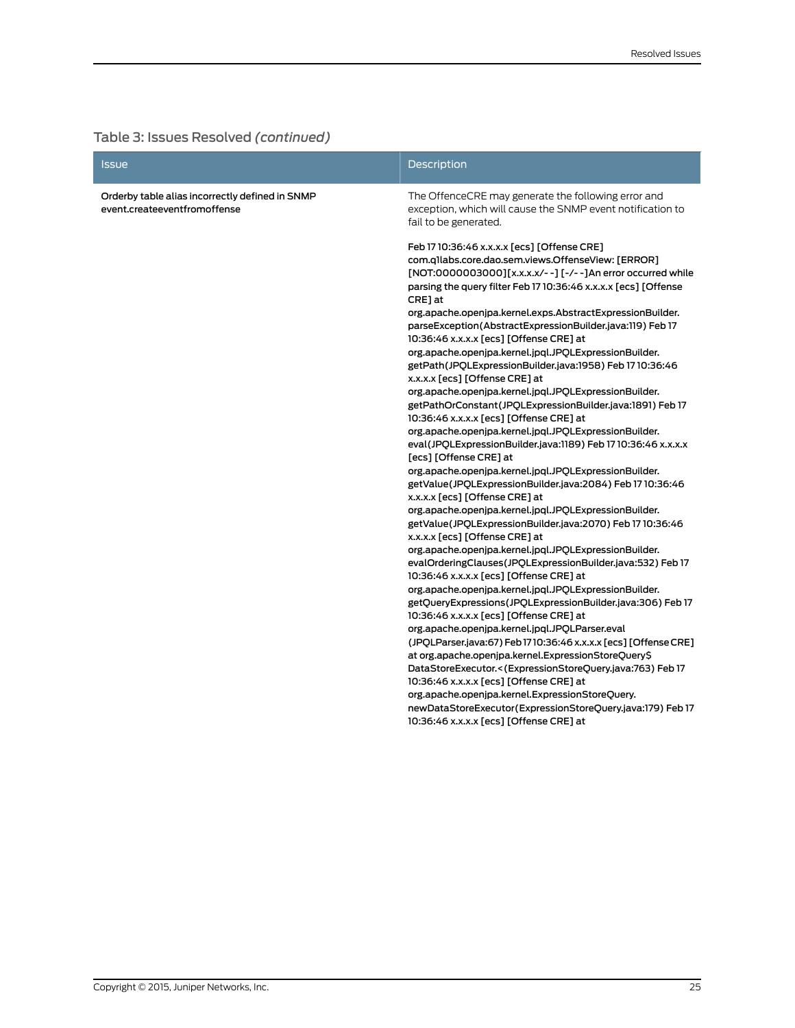| <b>Issue</b>                                                                    | <b>Description</b>                                                                                                                                                                                                                                                                                                                                                                                                                                                                                                                                                                                                                                                                                                                                                                                                                                                                                                                                                                                                                                                                                                                                                                                                                                                                                                                                                                                                                                                                                                                                                                                                                                                                                                                                                                                                                                                                                                                                                                                |
|---------------------------------------------------------------------------------|---------------------------------------------------------------------------------------------------------------------------------------------------------------------------------------------------------------------------------------------------------------------------------------------------------------------------------------------------------------------------------------------------------------------------------------------------------------------------------------------------------------------------------------------------------------------------------------------------------------------------------------------------------------------------------------------------------------------------------------------------------------------------------------------------------------------------------------------------------------------------------------------------------------------------------------------------------------------------------------------------------------------------------------------------------------------------------------------------------------------------------------------------------------------------------------------------------------------------------------------------------------------------------------------------------------------------------------------------------------------------------------------------------------------------------------------------------------------------------------------------------------------------------------------------------------------------------------------------------------------------------------------------------------------------------------------------------------------------------------------------------------------------------------------------------------------------------------------------------------------------------------------------------------------------------------------------------------------------------------------------|
| Orderby table alias incorrectly defined in SNMP<br>event.createeventfromoffense | The OffenceCRE may generate the following error and<br>exception, which will cause the SNMP event notification to<br>fail to be generated.                                                                                                                                                                                                                                                                                                                                                                                                                                                                                                                                                                                                                                                                                                                                                                                                                                                                                                                                                                                                                                                                                                                                                                                                                                                                                                                                                                                                                                                                                                                                                                                                                                                                                                                                                                                                                                                        |
|                                                                                 | Feb 17 10:36:46 x.x.x.x [ecs] [Offense CRE]<br>com.q1labs.core.dao.sem.views.OffenseView: [ERROR]<br>[NOT:0000003000][x.x.x.x/--] [-/--]An error occurred while<br>parsing the query filter Feb 17 10:36:46 x.x.x.x [ecs] [Offense<br>CRE] at<br>org.apache.openjpa.kernel.exps.AbstractExpressionBuilder.<br>parseException(AbstractExpressionBuilder.java:119) Feb 17<br>10:36:46 x.x.x.x [ecs] [Offense CRE] at<br>org.apache.openjpa.kernel.jpql.JPQLExpressionBuilder.<br>getPath(JPQLExpressionBuilder.java:1958) Feb 17 10:36:46<br>x.x.x.x [ecs] [Offense CRE] at<br>org.apache.openjpa.kernel.jpql.JPQLExpressionBuilder.<br>getPathOrConstant(JPQLExpressionBuilder.java:1891) Feb 17<br>10:36:46 x.x.x.x [ecs] [Offense CRE] at<br>org.apache.openjpa.kernel.jpql.JPQLExpressionBuilder.<br>eval(JPQLExpressionBuilder.java:1189) Feb 17 10:36:46 x.x.x.x<br>[ecs] [Offense CRE] at<br>org.apache.openjpa.kernel.jpql.JPQLExpressionBuilder.<br>getValue(JPQLExpressionBuilder.java:2084) Feb 1710:36:46<br>x.x.x.x [ecs] [Offense CRE] at<br>org.apache.openjpa.kernel.jpql.JPQLExpressionBuilder.<br>getValue(JPQLExpressionBuilder.java:2070) Feb 17 10:36:46<br>x.x.x.x [ecs] [Offense CRE] at<br>org.apache.openjpa.kernel.jpql.JPQLExpressionBuilder.<br>evalOrderingClauses(JPQLExpressionBuilder.java:532) Feb 17<br>10:36:46 x.x.x.x [ecs] [Offense CRE] at<br>org.apache.openjpa.kernel.jpql.JPQLExpressionBuilder.<br>getQueryExpressions(JPQLExpressionBuilder.java:306) Feb 17<br>10:36:46 x.x.x.x [ecs] [Offense CRE] at<br>org.apache.openjpa.kernel.jpql.JPQLParser.eval<br>(JPQLParser.java:67) Feb 1710:36:46 x.x.x.x [ecs] [Offense CRE]<br>at org.apache.openjpa.kernel.ExpressionStoreQuery\$<br>DataStoreExecutor.<(ExpressionStoreQuery.java:763) Feb 17<br>10:36:46 x.x.x.x [ecs] [Offense CRE] at<br>org.apache.openjpa.kernel.ExpressionStoreQuery.<br>newDataStoreExecutor(ExpressionStoreQuery.java:179) Feb 17<br>10:36:46 x.x.x.x [ecs] [Offense CRE] at |
|                                                                                 |                                                                                                                                                                                                                                                                                                                                                                                                                                                                                                                                                                                                                                                                                                                                                                                                                                                                                                                                                                                                                                                                                                                                                                                                                                                                                                                                                                                                                                                                                                                                                                                                                                                                                                                                                                                                                                                                                                                                                                                                   |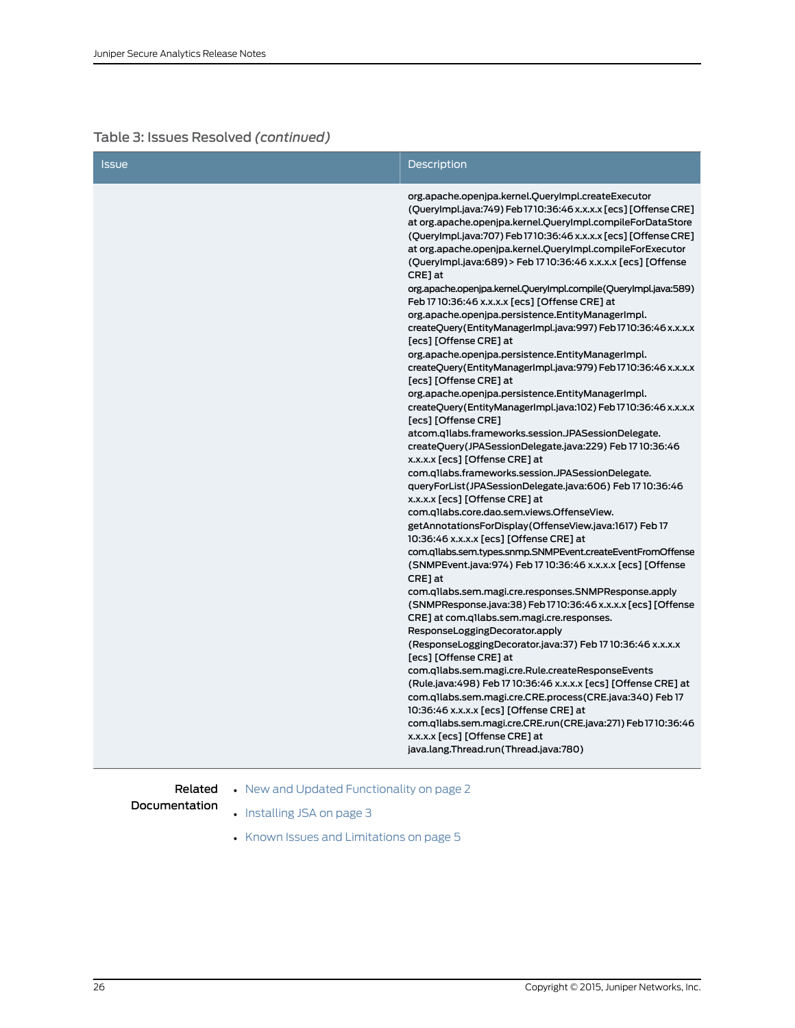| <b>Issue</b> | Description                                                                                                                                                                                                                                                                                                                                                                                                                                                                                                                                                                                                                                                                                                                                                                                                                                                                                                                                                                                                                                                                                                                                                                                                                                                                                                                                                                                                                                                                                                                                                                                                                                                                                                                                                                                                                                                            |
|--------------|------------------------------------------------------------------------------------------------------------------------------------------------------------------------------------------------------------------------------------------------------------------------------------------------------------------------------------------------------------------------------------------------------------------------------------------------------------------------------------------------------------------------------------------------------------------------------------------------------------------------------------------------------------------------------------------------------------------------------------------------------------------------------------------------------------------------------------------------------------------------------------------------------------------------------------------------------------------------------------------------------------------------------------------------------------------------------------------------------------------------------------------------------------------------------------------------------------------------------------------------------------------------------------------------------------------------------------------------------------------------------------------------------------------------------------------------------------------------------------------------------------------------------------------------------------------------------------------------------------------------------------------------------------------------------------------------------------------------------------------------------------------------------------------------------------------------------------------------------------------------|
|              | org.apache.openjpa.kernel.QueryImpl.createExecutor<br>(QueryImpl.java:749) Feb 1710:36:46 x.x.x.x [ecs] [Offense CRE]<br>at org.apache.openjpa.kernel.QueryImpl.compileForDataStore<br>(QueryImpl.java:707) Feb 1710:36:46 x.x.x.x [ecs] [Offense CRE]<br>at org.apache.openjpa.kernel.QueryImpl.compileForExecutor<br>(QueryImpl.java:689) > Feb 17 10:36:46 x.x.x.x [ecs] [Offense<br>CRE] at<br>org.apache.openjpa.kernel.QueryImpl.compile(QueryImpl.java:589)<br>Feb 17 10:36:46 x.x.x.x [ecs] [Offense CRE] at<br>org.apache.openjpa.persistence.EntityManagerImpl.<br>createQuery(EntityManagerImpl.java:997) Feb 1710:36:46 x.x.x.x<br>[ecs] [Offense CRE] at<br>org.apache.openjpa.persistence.EntityManagerImpl.<br>createQuery(EntityManagerImpl.java:979) Feb1710:36:46 x.x.x.x<br>[ecs] [Offense CRE] at<br>org.apache.openjpa.persistence.EntityManagerImpl.<br>createQuery(EntityManagerImpl.java:102) Feb 1710:36:46 x.x.x.x<br>[ecs] [Offense CRE]<br>atcom.q1labs.frameworks.session.JPASessionDelegate.<br>createQuery(JPASessionDelegate.java:229) Feb 17 10:36:46<br>x.x.x.x [ecs] [Offense CRE] at<br>com.q1labs.frameworks.session.JPASessionDelegate.<br>queryForList(JPASessionDelegate.java:606) Feb 1710:36:46<br>x.x.x.x [ecs] [Offense CRE] at<br>com.q1labs.core.dao.sem.views.OffenseView.<br>getAnnotationsForDisplay(OffenseView.java:1617) Feb 17<br>10:36:46 x.x.x.x [ecs] [Offense CRE] at<br>com.qllabs.sem.types.snmp.SNMPEvent.createEventFromOffense<br>(SNMPEvent.java:974) Feb 17 10:36:46 x.x.x.x [ecs] [Offense<br>CRE] at<br>com.q1labs.sem.magi.cre.responses.SNMPResponse.apply<br>(SNMPResponse.java:38) Feb 1710:36:46 x.x.x.x [ecs] [Offense<br>CRE] at com.qllabs.sem.magi.cre.responses.<br>ResponseLoggingDecorator.apply<br>(ResponseLoggingDecorator.java:37) Feb 17 10:36:46 x.x.x.x<br>[ecs] [Offense CRE] at |
|              | com.q1labs.sem.magi.cre.Rule.createResponseEvents<br>(Rule.java:498) Feb 1710:36:46 x.x.x.x [ecs] [Offense CRE] at                                                                                                                                                                                                                                                                                                                                                                                                                                                                                                                                                                                                                                                                                                                                                                                                                                                                                                                                                                                                                                                                                                                                                                                                                                                                                                                                                                                                                                                                                                                                                                                                                                                                                                                                                     |
|              | com.qllabs.sem.magi.cre.CRE.process(CRE.java:340) Feb 17<br>10:36:46 x.x.x.x [ecs] [Offense CRE] at<br>com.qllabs.sem.magi.cre.CRE.run(CRE.java:271) Feb 1710:36:46                                                                                                                                                                                                                                                                                                                                                                                                                                                                                                                                                                                                                                                                                                                                                                                                                                                                                                                                                                                                                                                                                                                                                                                                                                                                                                                                                                                                                                                                                                                                                                                                                                                                                                    |
|              | x.x.x.x [ecs] [Offense CRE] at<br>java.lang.Thread.run(Thread.java:780)                                                                                                                                                                                                                                                                                                                                                                                                                                                                                                                                                                                                                                                                                                                                                                                                                                                                                                                                                                                                                                                                                                                                                                                                                                                                                                                                                                                                                                                                                                                                                                                                                                                                                                                                                                                                |

**Related** • New and Updated [Functionality](#page-1-0) on page 2

#### Documentation

- [Installing](#page-2-0) JSA on page 3
- Known Issues and [Limitations](#page-4-0) on page 5